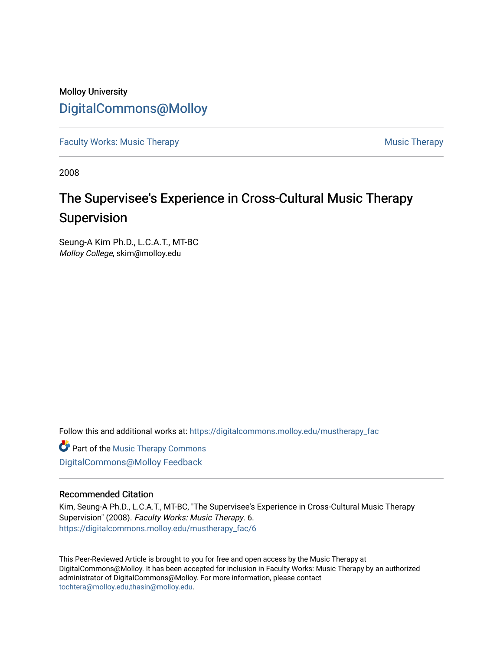## Molloy University [DigitalCommons@Molloy](https://digitalcommons.molloy.edu/)

[Faculty Works: Music Therapy](https://digitalcommons.molloy.edu/mustherapy_fac) [Music Therapy](https://digitalcommons.molloy.edu/mustherapy) Australian Security Music Therapy Music Therapy Music Therapy

2008

# The Supervisee's Experience in Cross-Cultural Music Therapy Supervision

Seung-A Kim Ph.D., L.C.A.T., MT-BC Molloy College, skim@molloy.edu

Follow this and additional works at: [https://digitalcommons.molloy.edu/mustherapy\\_fac](https://digitalcommons.molloy.edu/mustherapy_fac?utm_source=digitalcommons.molloy.edu%2Fmustherapy_fac%2F6&utm_medium=PDF&utm_campaign=PDFCoverPages)

Part of the [Music Therapy Commons](https://network.bepress.com/hgg/discipline/1248?utm_source=digitalcommons.molloy.edu%2Fmustherapy_fac%2F6&utm_medium=PDF&utm_campaign=PDFCoverPages) [DigitalCommons@Molloy Feedback](https://molloy.libwizard.com/f/dcfeedback)

#### Recommended Citation

Kim, Seung-A Ph.D., L.C.A.T., MT-BC, "The Supervisee's Experience in Cross-Cultural Music Therapy Supervision" (2008). Faculty Works: Music Therapy. 6. [https://digitalcommons.molloy.edu/mustherapy\\_fac/6](https://digitalcommons.molloy.edu/mustherapy_fac/6?utm_source=digitalcommons.molloy.edu%2Fmustherapy_fac%2F6&utm_medium=PDF&utm_campaign=PDFCoverPages)

This Peer-Reviewed Article is brought to you for free and open access by the Music Therapy at DigitalCommons@Molloy. It has been accepted for inclusion in Faculty Works: Music Therapy by an authorized administrator of DigitalCommons@Molloy. For more information, please contact [tochtera@molloy.edu,thasin@molloy.edu](mailto:tochtera@molloy.edu,thasin@molloy.edu).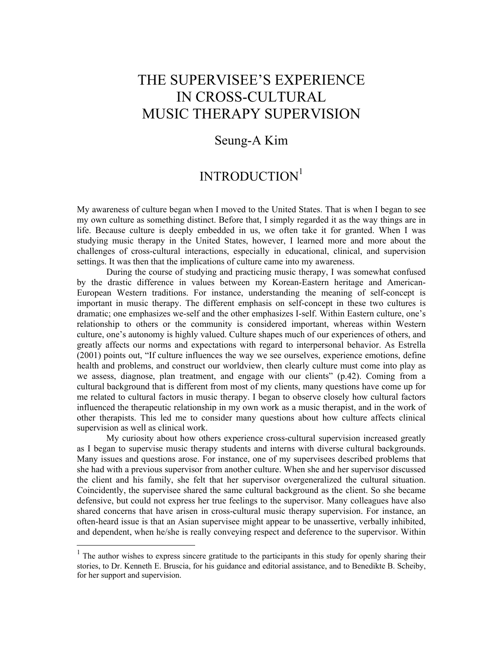# THE SUPERVISEE'S EXPERIENCE IN CROSS-CULTURAL MUSIC THERAPY SUPERVISION

### Seung-A Kim

## INTRODUCTION<sup>1</sup>

My awareness of culture began when I moved to the United States. That is when I began to see my own culture as something distinct. Before that, I simply regarded it as the way things are in life. Because culture is deeply embedded in us, we often take it for granted. When I was studying music therapy in the United States, however, I learned more and more about the challenges of cross-cultural interactions, especially in educational, clinical, and supervision settings. It was then that the implications of culture came into my awareness.

During the course of studying and practicing music therapy, I was somewhat confused by the drastic difference in values between my Korean-Eastern heritage and American-European Western traditions. For instance, understanding the meaning of self-concept is important in music therapy. The different emphasis on self-concept in these two cultures is dramatic; one emphasizes we-self and the other emphasizes I-self. Within Eastern culture, one's relationship to others or the community is considered important, whereas within Western culture, one's autonomy is highly valued. Culture shapes much of our experiences of others, and greatly affects our norms and expectations with regard to interpersonal behavior. As Estrella (2001) points out, "If culture influences the way we see ourselves, experience emotions, define health and problems, and construct our worldview, then clearly culture must come into play as we assess, diagnose, plan treatment, and engage with our clients" (p.42). Coming from a cultural background that is different from most of my clients, many questions have come up for me related to cultural factors in music therapy. I began to observe closely how cultural factors influenced the therapeutic relationship in my own work as a music therapist, and in the work of other therapists. This led me to consider many questions about how culture affects clinical supervision as well as clinical work.

My curiosity about how others experience cross-cultural supervision increased greatly as I began to supervise music therapy students and interns with diverse cultural backgrounds. Many issues and questions arose. For instance, one of my supervisees described problems that she had with a previous supervisor from another culture. When she and her supervisor discussed the client and his family, she felt that her supervisor overgeneralized the cultural situation. Coincidently, the supervisee shared the same cultural background as the client. So she became defensive, but could not express her true feelings to the supervisor. Many colleagues have also shared concerns that have arisen in cross-cultural music therapy supervision. For instance, an often-heard issue is that an Asian supervisee might appear to be unassertive, verbally inhibited, and dependent, when he/she is really conveying respect and deference to the supervisor. Within

<u>.</u>

<sup>&</sup>lt;sup>1</sup> The author wishes to express sincere gratitude to the participants in this study for openly sharing their stories, to Dr. Kenneth E. Bruscia, for his guidance and editorial assistance, and to Benedikte B. Scheiby, for her support and supervision.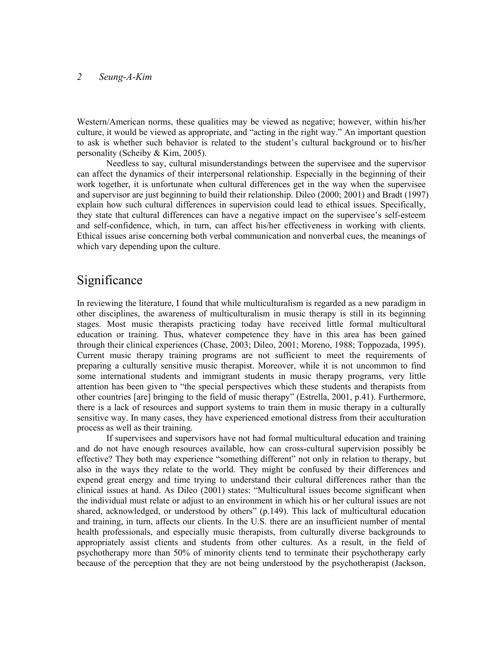Western/American norms, these qualities may be viewed as negative; however, within his/her culture, it would be viewed as appropriate, and "acting in the right way." An important question to ask is whether such behavior is related to the student's cultural background or to his/her personality (Scheiby & Kim, 2005).

Needless to say, cultural misunderstandings between the supervisee and the supervisor can affect the dynamics of their interpersonal relationship. Especially in the beginning of their work together, it is unfortunate when cultural differences get in the way when the supervisee and supervisor are just beginning to build their relationship. Dileo (2000; 2001) and Bradt (1997) explain how such cultural differences in supervision could lead to ethical issues. Specifically, they state that cultural differences can have a negative impact on the supervisee's self-esteem and self-confidence, which, in turn, can affect his/her effectiveness in working with clients. Ethical issues arise concerning both verbal communication and nonverbal cues, the meanings of which vary depending upon the culture.

## **Significance**

In reviewing the literature, I found that while multiculturalism is regarded as a new paradigm in other disciplines, the awareness of multiculturalism in music therapy is still in its beginning stages. Most music therapists practicing today have received little formal multicultural education or training. Thus, whatever competence they have in this area has been gained through their clinical experiences (Chase, 2003; Dileo, 2001; Moreno, 1988; Toppozada, 1995). Current music therapy training programs are not sufficient to meet the requirements of preparing a culturally sensitive music therapist. Moreover, while it is not uncommon to find some international students and immigrant students in music therapy programs, very little attention has been given to "the special perspectives which these students and therapists from other countries [are] bringing to the field of music therapy" (Estrella, 2001, p.41). Furthermore, there is a lack of resources and support systems to train them in music therapy in a culturally sensitive way. In many cases, they have experienced emotional distress from their acculturation process as well as their training.

If supervisees and supervisors have not had formal multicultural education and training and do not have enough resources available, how can cross-cultural supervision possibly be effective? They both may experience "something different" not only in relation to therapy, but also in the ways they relate to the world. They might be confused by their differences and expend great energy and time trying to understand their cultural differences rather than the clinical issues at hand. As Dileo (2001) states: "Multicultural issues become significant when the individual must relate or adjust to an environment in which his or her cultural issues are not shared, acknowledged, or understood by others" (p.149). This lack of multicultural education and training, in turn, affects our clients. In the U.S. there are an insufficient number of mental health professionals, and especially music therapists, from culturally diverse backgrounds to appropriately assist clients and students from other cultures. As a result, in the field of psychotherapy more than 50% of minority clients tend to terminate their psychotherapy early because of the perception that they are not being understood by the psychotherapist (Jackson,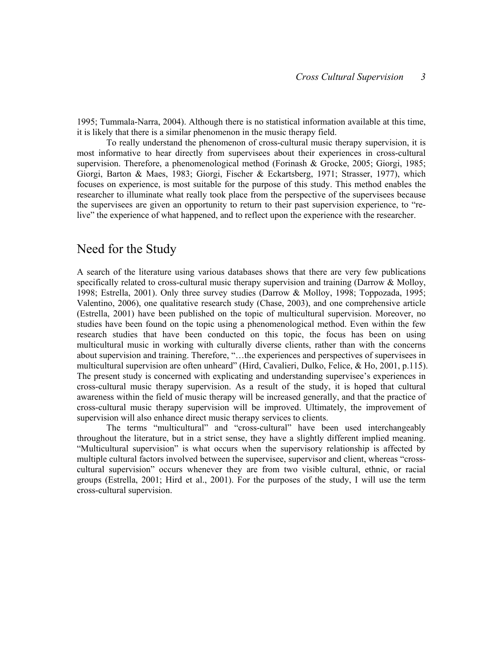1995; Tummala-Narra, 2004). Although there is no statistical information available at this time, it is likely that there is a similar phenomenon in the music therapy field.

To really understand the phenomenon of cross-cultural music therapy supervision, it is most informative to hear directly from supervisees about their experiences in cross-cultural supervision. Therefore, a phenomenological method (Forinash & Grocke, 2005; Giorgi, 1985; Giorgi, Barton & Maes, 1983; Giorgi, Fischer & Eckartsberg, 1971; Strasser, 1977), which focuses on experience, is most suitable for the purpose of this study. This method enables the researcher to illuminate what really took place from the perspective of the supervisees because the supervisees are given an opportunity to return to their past supervision experience, to "relive" the experience of what happened, and to reflect upon the experience with the researcher.

### Need for the Study

A search of the literature using various databases shows that there are very few publications specifically related to cross-cultural music therapy supervision and training (Darrow  $\&$  Molloy, 1998; Estrella, 2001). Only three survey studies (Darrow & Molloy, 1998; Toppozada, 1995; Valentino, 2006), one qualitative research study (Chase, 2003), and one comprehensive article (Estrella, 2001) have been published on the topic of multicultural supervision. Moreover, no studies have been found on the topic using a phenomenological method. Even within the few research studies that have been conducted on this topic, the focus has been on using multicultural music in working with culturally diverse clients, rather than with the concerns about supervision and training. Therefore, "…the experiences and perspectives of supervisees in multicultural supervision are often unheard" (Hird, Cavalieri, Dulko, Felice, & Ho, 2001, p.115). The present study is concerned with explicating and understanding supervisee's experiences in cross-cultural music therapy supervision. As a result of the study, it is hoped that cultural awareness within the field of music therapy will be increased generally, and that the practice of cross-cultural music therapy supervision will be improved. Ultimately, the improvement of supervision will also enhance direct music therapy services to clients.

The terms "multicultural" and "cross-cultural" have been used interchangeably throughout the literature, but in a strict sense, they have a slightly different implied meaning. "Multicultural supervision" is what occurs when the supervisory relationship is affected by multiple cultural factors involved between the supervisee, supervisor and client, whereas "crosscultural supervision" occurs whenever they are from two visible cultural, ethnic, or racial groups (Estrella, 2001; Hird et al., 2001). For the purposes of the study, I will use the term cross-cultural supervision.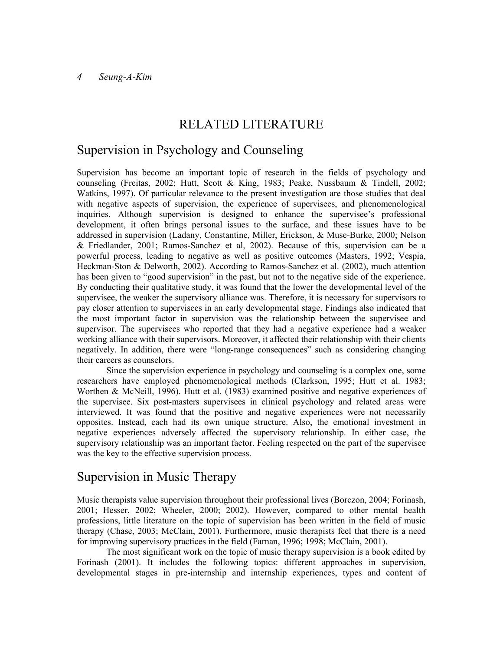## RELATED LITERATURE

## Supervision in Psychology and Counseling

Supervision has become an important topic of research in the fields of psychology and counseling (Freitas, 2002; Hutt, Scott & King, 1983; Peake, Nussbaum & Tindell, 2002; Watkins, 1997). Of particular relevance to the present investigation are those studies that deal with negative aspects of supervision, the experience of supervisees, and phenomenological inquiries. Although supervision is designed to enhance the supervisee's professional development, it often brings personal issues to the surface, and these issues have to be addressed in supervision (Ladany, Constantine, Miller, Erickson, & Muse-Burke, 2000; Nelson & Friedlander, 2001; Ramos-Sanchez et al, 2002). Because of this, supervision can be a powerful process, leading to negative as well as positive outcomes (Masters, 1992; Vespia, Heckman-Ston & Delworth, 2002). According to Ramos-Sanchez et al. (2002), much attention has been given to "good supervision" in the past, but not to the negative side of the experience. By conducting their qualitative study, it was found that the lower the developmental level of the supervisee, the weaker the supervisory alliance was. Therefore, it is necessary for supervisors to pay closer attention to supervisees in an early developmental stage. Findings also indicated that the most important factor in supervision was the relationship between the supervisee and supervisor. The supervisees who reported that they had a negative experience had a weaker working alliance with their supervisors. Moreover, it affected their relationship with their clients negatively. In addition, there were "long-range consequences" such as considering changing their careers as counselors.

Since the supervision experience in psychology and counseling is a complex one, some researchers have employed phenomenological methods (Clarkson, 1995; Hutt et al. 1983; Worthen & McNeill, 1996). Hutt et al. (1983) examined positive and negative experiences of the supervisee. Six post-masters supervisees in clinical psychology and related areas were interviewed. It was found that the positive and negative experiences were not necessarily opposites. Instead, each had its own unique structure. Also, the emotional investment in negative experiences adversely affected the supervisory relationship. In either case, the supervisory relationship was an important factor. Feeling respected on the part of the supervisee was the key to the effective supervision process.

### Supervision in Music Therapy

Music therapists value supervision throughout their professional lives (Borczon, 2004; Forinash, 2001; Hesser, 2002; Wheeler, 2000; 2002). However, compared to other mental health professions, little literature on the topic of supervision has been written in the field of music therapy (Chase, 2003; McClain, 2001). Furthermore, music therapists feel that there is a need for improving supervisory practices in the field (Farnan, 1996; 1998; McClain, 2001).

The most significant work on the topic of music therapy supervision is a book edited by Forinash (2001). It includes the following topics: different approaches in supervision, developmental stages in pre-internship and internship experiences, types and content of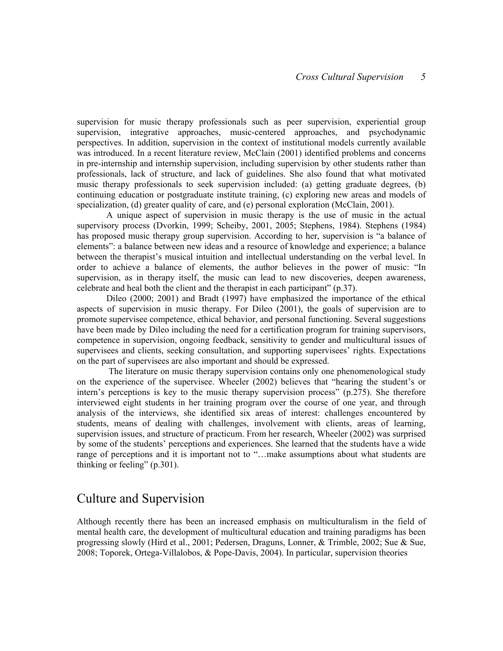supervision for music therapy professionals such as peer supervision, experiential group supervision, integrative approaches, music-centered approaches, and psychodynamic perspectives. In addition, supervision in the context of institutional models currently available was introduced. In a recent literature review, McClain (2001) identified problems and concerns in pre-internship and internship supervision, including supervision by other students rather than professionals, lack of structure, and lack of guidelines. She also found that what motivated music therapy professionals to seek supervision included: (a) getting graduate degrees, (b) continuing education or postgraduate institute training, (c) exploring new areas and models of specialization, (d) greater quality of care, and (e) personal exploration (McClain, 2001).

A unique aspect of supervision in music therapy is the use of music in the actual supervisory process (Dvorkin, 1999; Scheiby, 2001, 2005; Stephens, 1984). Stephens (1984) has proposed music therapy group supervision. According to her, supervision is "a balance of elements": a balance between new ideas and a resource of knowledge and experience; a balance between the therapist's musical intuition and intellectual understanding on the verbal level. In order to achieve a balance of elements, the author believes in the power of music: "In supervision, as in therapy itself, the music can lead to new discoveries, deepen awareness, celebrate and heal both the client and the therapist in each participant" (p.37).

Dileo (2000; 2001) and Bradt (1997) have emphasized the importance of the ethical aspects of supervision in music therapy. For Dileo (2001), the goals of supervision are to promote supervisee competence, ethical behavior, and personal functioning. Several suggestions have been made by Dileo including the need for a certification program for training supervisors, competence in supervision, ongoing feedback, sensitivity to gender and multicultural issues of supervisees and clients, seeking consultation, and supporting supervisees' rights. Expectations on the part of supervisees are also important and should be expressed.

 The literature on music therapy supervision contains only one phenomenological study on the experience of the supervisee. Wheeler (2002) believes that "hearing the student's or intern's perceptions is key to the music therapy supervision process" (p.275). She therefore interviewed eight students in her training program over the course of one year, and through analysis of the interviews, she identified six areas of interest: challenges encountered by students, means of dealing with challenges, involvement with clients, areas of learning, supervision issues, and structure of practicum. From her research, Wheeler (2002) was surprised by some of the students' perceptions and experiences. She learned that the students have a wide range of perceptions and it is important not to "…make assumptions about what students are thinking or feeling" (p.301).

### Culture and Supervision

Although recently there has been an increased emphasis on multiculturalism in the field of mental health care, the development of multicultural education and training paradigms has been progressing slowly (Hird et al., 2001; Pedersen, Draguns, Lonner, & Trimble, 2002; Sue & Sue, 2008; Toporek, Ortega-Villalobos, & Pope-Davis, 2004). In particular, supervision theories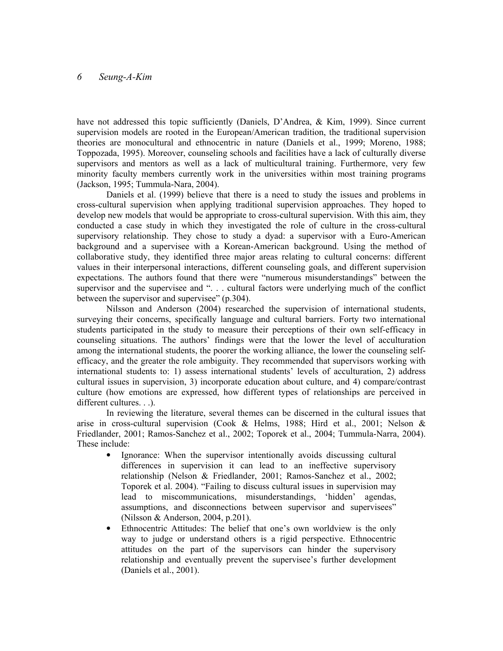have not addressed this topic sufficiently (Daniels, D'Andrea, & Kim, 1999). Since current supervision models are rooted in the European/American tradition, the traditional supervision theories are monocultural and ethnocentric in nature (Daniels et al., 1999; Moreno, 1988; Toppozada, 1995). Moreover, counseling schools and facilities have a lack of culturally diverse supervisors and mentors as well as a lack of multicultural training. Furthermore, very few minority faculty members currently work in the universities within most training programs (Jackson, 1995; Tummula-Nara, 2004).

Daniels et al. (1999) believe that there is a need to study the issues and problems in cross-cultural supervision when applying traditional supervision approaches. They hoped to develop new models that would be appropriate to cross-cultural supervision. With this aim, they conducted a case study in which they investigated the role of culture in the cross-cultural supervisory relationship. They chose to study a dyad: a supervisor with a Euro-American background and a supervisee with a Korean-American background. Using the method of collaborative study, they identified three major areas relating to cultural concerns: different values in their interpersonal interactions, different counseling goals, and different supervision expectations. The authors found that there were "numerous misunderstandings" between the supervisor and the supervisee and "... cultural factors were underlying much of the conflict between the supervisor and supervisee" (p.304).

Nilsson and Anderson (2004) researched the supervision of international students, surveying their concerns, specifically language and cultural barriers. Forty two international students participated in the study to measure their perceptions of their own self-efficacy in counseling situations. The authors' findings were that the lower the level of acculturation among the international students, the poorer the working alliance, the lower the counseling selfefficacy, and the greater the role ambiguity. They recommended that supervisors working with international students to: 1) assess international students' levels of acculturation, 2) address cultural issues in supervision, 3) incorporate education about culture, and 4) compare/contrast culture (how emotions are expressed, how different types of relationships are perceived in different cultures. . .).

In reviewing the literature, several themes can be discerned in the cultural issues that arise in cross-cultural supervision (Cook & Helms, 1988; Hird et al., 2001; Nelson & Friedlander, 2001; Ramos-Sanchez et al., 2002; Toporek et al., 2004; Tummula-Narra, 2004). These include:

- Ignorance: When the supervisor intentionally avoids discussing cultural differences in supervision it can lead to an ineffective supervisory relationship (Nelson & Friedlander, 2001; Ramos-Sanchez et al., 2002; Toporek et al. 2004). "Failing to discuss cultural issues in supervision may lead to miscommunications, misunderstandings, 'hidden' agendas, assumptions, and disconnections between supervisor and supervisees" (Nilsson & Anderson, 2004, p.201).
- Ethnocentric Attitudes: The belief that one's own worldview is the only way to judge or understand others is a rigid perspective. Ethnocentric attitudes on the part of the supervisors can hinder the supervisory relationship and eventually prevent the supervisee's further development (Daniels et al., 2001).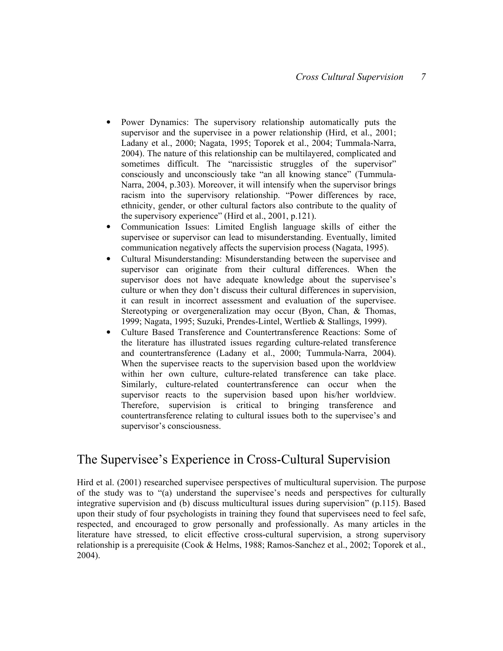- Power Dynamics: The supervisory relationship automatically puts the supervisor and the supervisee in a power relationship (Hird, et al., 2001; Ladany et al., 2000; Nagata, 1995; Toporek et al., 2004; Tummala-Narra, 2004). The nature of this relationship can be multilayered, complicated and sometimes difficult. The "narcissistic struggles of the supervisor" consciously and unconsciously take "an all knowing stance" (Tummula-Narra, 2004, p.303). Moreover, it will intensify when the supervisor brings racism into the supervisory relationship. "Power differences by race, ethnicity, gender, or other cultural factors also contribute to the quality of the supervisory experience" (Hird et al., 2001, p.121).
- Communication Issues: Limited English language skills of either the supervisee or supervisor can lead to misunderstanding. Eventually, limited communication negatively affects the supervision process (Nagata, 1995).
- Cultural Misunderstanding: Misunderstanding between the supervisee and supervisor can originate from their cultural differences. When the supervisor does not have adequate knowledge about the supervisee's culture or when they don't discuss their cultural differences in supervision, it can result in incorrect assessment and evaluation of the supervisee. Stereotyping or overgeneralization may occur (Byon, Chan, & Thomas, 1999; Nagata, 1995; Suzuki, Prendes-Lintel, Wertlieb & Stallings, 1999).
- Culture Based Transference and Countertransference Reactions: Some of the literature has illustrated issues regarding culture-related transference and countertransference (Ladany et al., 2000; Tummula-Narra, 2004). When the supervisee reacts to the supervision based upon the worldview within her own culture, culture-related transference can take place. Similarly, culture-related countertransference can occur when the supervisor reacts to the supervision based upon his/her worldview. Therefore, supervision is critical to bringing transference and countertransference relating to cultural issues both to the supervisee's and supervisor's consciousness.

## The Supervisee's Experience in Cross-Cultural Supervision

Hird et al. (2001) researched supervisee perspectives of multicultural supervision. The purpose of the study was to "(a) understand the supervisee's needs and perspectives for culturally integrative supervision and (b) discuss multicultural issues during supervision" (p.115). Based upon their study of four psychologists in training they found that supervisees need to feel safe, respected, and encouraged to grow personally and professionally. As many articles in the literature have stressed, to elicit effective cross-cultural supervision, a strong supervisory relationship is a prerequisite (Cook & Helms, 1988; Ramos-Sanchez et al., 2002; Toporek et al., 2004).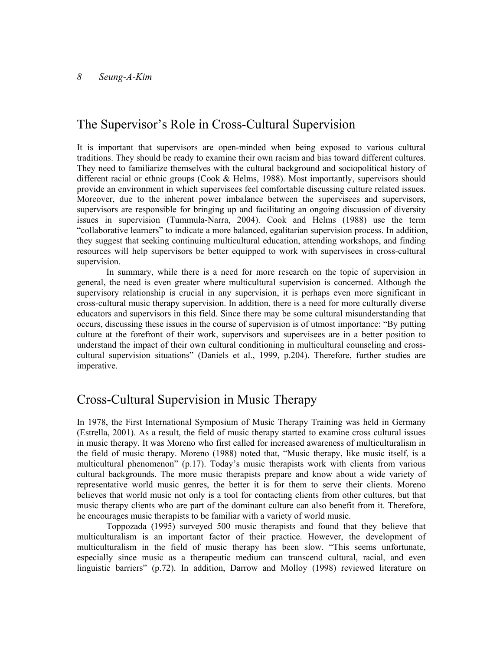## The Supervisor's Role in Cross-Cultural Supervision

It is important that supervisors are open-minded when being exposed to various cultural traditions. They should be ready to examine their own racism and bias toward different cultures. They need to familiarize themselves with the cultural background and sociopolitical history of different racial or ethnic groups (Cook & Helms, 1988). Most importantly, supervisors should provide an environment in which supervisees feel comfortable discussing culture related issues. Moreover, due to the inherent power imbalance between the supervisees and supervisors, supervisors are responsible for bringing up and facilitating an ongoing discussion of diversity issues in supervision (Tummula-Narra, 2004). Cook and Helms (1988) use the term "collaborative learners" to indicate a more balanced, egalitarian supervision process. In addition, they suggest that seeking continuing multicultural education, attending workshops, and finding resources will help supervisors be better equipped to work with supervisees in cross-cultural supervision.

In summary, while there is a need for more research on the topic of supervision in general, the need is even greater where multicultural supervision is concerned. Although the supervisory relationship is crucial in any supervision, it is perhaps even more significant in cross-cultural music therapy supervision. In addition, there is a need for more culturally diverse educators and supervisors in this field. Since there may be some cultural misunderstanding that occurs, discussing these issues in the course of supervision is of utmost importance: "By putting culture at the forefront of their work, supervisors and supervisees are in a better position to understand the impact of their own cultural conditioning in multicultural counseling and crosscultural supervision situations" (Daniels et al., 1999, p.204). Therefore, further studies are imperative.

## Cross-Cultural Supervision in Music Therapy

In 1978, the First International Symposium of Music Therapy Training was held in Germany (Estrella, 2001). As a result, the field of music therapy started to examine cross cultural issues in music therapy. It was Moreno who first called for increased awareness of multiculturalism in the field of music therapy. Moreno (1988) noted that, "Music therapy, like music itself, is a multicultural phenomenon" (p.17). Today's music therapists work with clients from various cultural backgrounds. The more music therapists prepare and know about a wide variety of representative world music genres, the better it is for them to serve their clients. Moreno believes that world music not only is a tool for contacting clients from other cultures, but that music therapy clients who are part of the dominant culture can also benefit from it. Therefore, he encourages music therapists to be familiar with a variety of world music.

Toppozada (1995) surveyed 500 music therapists and found that they believe that multiculturalism is an important factor of their practice. However, the development of multiculturalism in the field of music therapy has been slow. "This seems unfortunate, especially since music as a therapeutic medium can transcend cultural, racial, and even linguistic barriers" (p.72). In addition, Darrow and Molloy (1998) reviewed literature on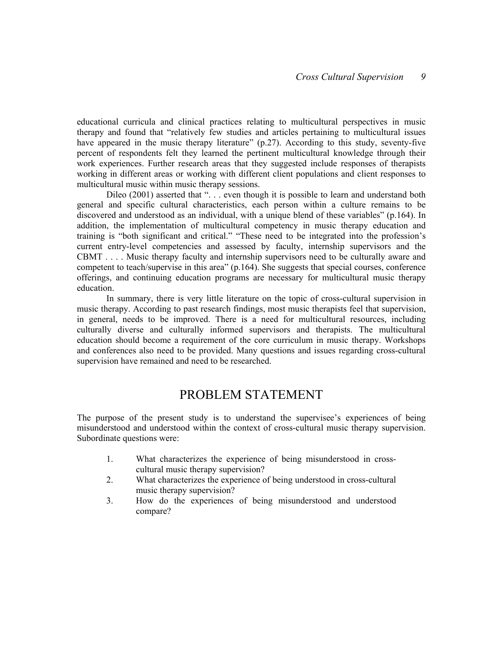educational curricula and clinical practices relating to multicultural perspectives in music therapy and found that "relatively few studies and articles pertaining to multicultural issues have appeared in the music therapy literature" (p.27). According to this study, seventy-five percent of respondents felt they learned the pertinent multicultural knowledge through their work experiences. Further research areas that they suggested include responses of therapists working in different areas or working with different client populations and client responses to multicultural music within music therapy sessions.

Dileo (2001) asserted that "... even though it is possible to learn and understand both general and specific cultural characteristics, each person within a culture remains to be discovered and understood as an individual, with a unique blend of these variables" (p.164). In addition, the implementation of multicultural competency in music therapy education and training is "both significant and critical." "These need to be integrated into the profession's current entry-level competencies and assessed by faculty, internship supervisors and the CBMT . . . . Music therapy faculty and internship supervisors need to be culturally aware and competent to teach/supervise in this area" (p.164). She suggests that special courses, conference offerings, and continuing education programs are necessary for multicultural music therapy education.

In summary, there is very little literature on the topic of cross-cultural supervision in music therapy. According to past research findings, most music therapists feel that supervision, in general, needs to be improved. There is a need for multicultural resources, including culturally diverse and culturally informed supervisors and therapists. The multicultural education should become a requirement of the core curriculum in music therapy. Workshops and conferences also need to be provided. Many questions and issues regarding cross-cultural supervision have remained and need to be researched.

### PROBLEM STATEMENT

The purpose of the present study is to understand the supervisee's experiences of being misunderstood and understood within the context of cross-cultural music therapy supervision. Subordinate questions were:

- 1. What characterizes the experience of being misunderstood in crosscultural music therapy supervision?
- 2. What characterizes the experience of being understood in cross-cultural music therapy supervision?
- 3. How do the experiences of being misunderstood and understood compare?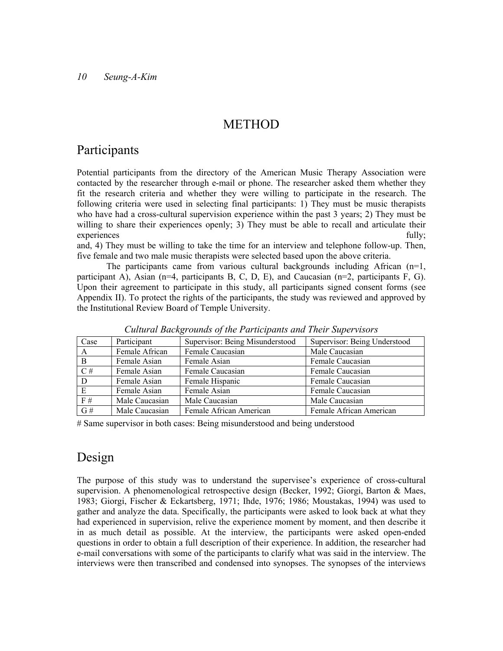## METHOD

## Participants

Potential participants from the directory of the American Music Therapy Association were contacted by the researcher through e-mail or phone. The researcher asked them whether they fit the research criteria and whether they were willing to participate in the research. The following criteria were used in selecting final participants: 1) They must be music therapists who have had a cross-cultural supervision experience within the past 3 years; 2) They must be willing to share their experiences openly; 3) They must be able to recall and articulate their experiences fully;

and, 4) They must be willing to take the time for an interview and telephone follow-up. Then, five female and two male music therapists were selected based upon the above criteria.

The participants came from various cultural backgrounds including African  $(n=1,$ participant A), Asian  $(n=4$ , participants B, C, D, E), and Caucasian  $(n=2)$ , participants F, G). Upon their agreement to participate in this study, all participants signed consent forms (see Appendix II). To protect the rights of the participants, the study was reviewed and approved by the Institutional Review Board of Temple University.

| Case         | Participant    | Supervisor: Being Misunderstood | Supervisor: Being Understood |
|--------------|----------------|---------------------------------|------------------------------|
| A            | Female African | Female Caucasian                | Male Caucasian               |
| <sup>B</sup> | Female Asian   | Female Asian                    | Female Caucasian             |
| C#           | Female Asian   | Female Caucasian                | Female Caucasian             |
| D            | Female Asian   | Female Hispanic                 | Female Caucasian             |
| E            | Female Asian   | Female Asian                    | Female Caucasian             |
| F#           | Male Caucasian | Male Caucasian                  | Male Caucasian               |
| G#           | Male Caucasian | Female African American         | Female African American      |

Cultural Backgrounds of the Participants and Their Supervisors

# Same supervisor in both cases: Being misunderstood and being understood

## Design

The purpose of this study was to understand the supervisee's experience of cross-cultural supervision. A phenomenological retrospective design (Becker, 1992; Giorgi, Barton & Maes, 1983; Giorgi, Fischer & Eckartsberg, 1971; Ihde, 1976; 1986; Moustakas, 1994) was used to gather and analyze the data. Specifically, the participants were asked to look back at what they had experienced in supervision, relive the experience moment by moment, and then describe it in as much detail as possible. At the interview, the participants were asked open-ended questions in order to obtain a full description of their experience. In addition, the researcher had e-mail conversations with some of the participants to clarify what was said in the interview. The interviews were then transcribed and condensed into synopses. The synopses of the interviews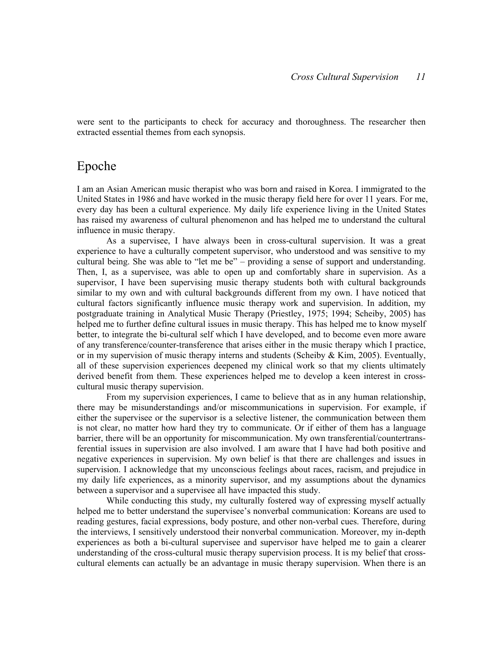were sent to the participants to check for accuracy and thoroughness. The researcher then extracted essential themes from each synopsis.

## Epoche

I am an Asian American music therapist who was born and raised in Korea. I immigrated to the United States in 1986 and have worked in the music therapy field here for over 11 years. For me, every day has been a cultural experience. My daily life experience living in the United States has raised my awareness of cultural phenomenon and has helped me to understand the cultural influence in music therapy.

As a supervisee, I have always been in cross-cultural supervision. It was a great experience to have a culturally competent supervisor, who understood and was sensitive to my cultural being. She was able to "let me be" – providing a sense of support and understanding. Then, I, as a supervisee, was able to open up and comfortably share in supervision. As a supervisor, I have been supervising music therapy students both with cultural backgrounds similar to my own and with cultural backgrounds different from my own. I have noticed that cultural factors significantly influence music therapy work and supervision. In addition, my postgraduate training in Analytical Music Therapy (Priestley, 1975; 1994; Scheiby, 2005) has helped me to further define cultural issues in music therapy. This has helped me to know myself better, to integrate the bi-cultural self which I have developed, and to become even more aware of any transference/counter-transference that arises either in the music therapy which I practice, or in my supervision of music therapy interns and students (Scheiby  $\&$  Kim, 2005). Eventually, all of these supervision experiences deepened my clinical work so that my clients ultimately derived benefit from them. These experiences helped me to develop a keen interest in crosscultural music therapy supervision.

From my supervision experiences, I came to believe that as in any human relationship, there may be misunderstandings and/or miscommunications in supervision. For example, if either the supervisee or the supervisor is a selective listener, the communication between them is not clear, no matter how hard they try to communicate. Or if either of them has a language barrier, there will be an opportunity for miscommunication. My own transferential/countertransferential issues in supervision are also involved. I am aware that I have had both positive and negative experiences in supervision. My own belief is that there are challenges and issues in supervision. I acknowledge that my unconscious feelings about races, racism, and prejudice in my daily life experiences, as a minority supervisor, and my assumptions about the dynamics between a supervisor and a supervisee all have impacted this study.

While conducting this study, my culturally fostered way of expressing myself actually helped me to better understand the supervisee's nonverbal communication: Koreans are used to reading gestures, facial expressions, body posture, and other non-verbal cues. Therefore, during the interviews, I sensitively understood their nonverbal communication. Moreover, my in-depth experiences as both a bi-cultural supervisee and supervisor have helped me to gain a clearer understanding of the cross-cultural music therapy supervision process. It is my belief that crosscultural elements can actually be an advantage in music therapy supervision. When there is an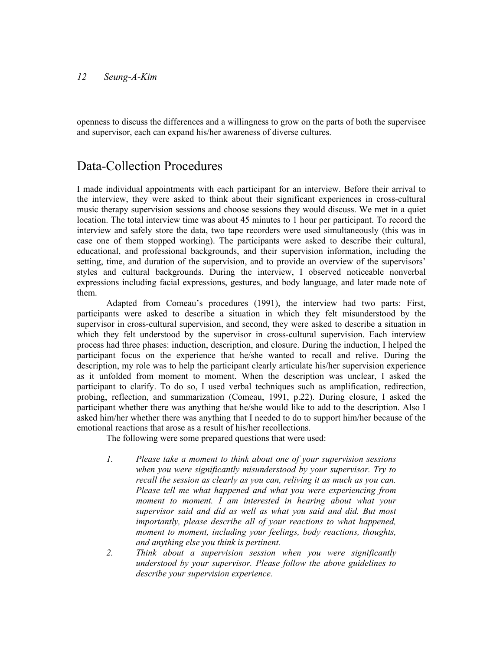openness to discuss the differences and a willingness to grow on the parts of both the supervisee and supervisor, each can expand his/her awareness of diverse cultures.

## Data-Collection Procedures

I made individual appointments with each participant for an interview. Before their arrival to the interview, they were asked to think about their significant experiences in cross-cultural music therapy supervision sessions and choose sessions they would discuss. We met in a quiet location. The total interview time was about 45 minutes to 1 hour per participant. To record the interview and safely store the data, two tape recorders were used simultaneously (this was in case one of them stopped working). The participants were asked to describe their cultural, educational, and professional backgrounds, and their supervision information, including the setting, time, and duration of the supervision, and to provide an overview of the supervisors' styles and cultural backgrounds. During the interview, I observed noticeable nonverbal expressions including facial expressions, gestures, and body language, and later made note of them.

Adapted from Comeau's procedures (1991), the interview had two parts: First, participants were asked to describe a situation in which they felt misunderstood by the supervisor in cross-cultural supervision, and second, they were asked to describe a situation in which they felt understood by the supervisor in cross-cultural supervision. Each interview process had three phases: induction, description, and closure. During the induction, I helped the participant focus on the experience that he/she wanted to recall and relive. During the description, my role was to help the participant clearly articulate his/her supervision experience as it unfolded from moment to moment. When the description was unclear, I asked the participant to clarify. To do so, I used verbal techniques such as amplification, redirection, probing, reflection, and summarization (Comeau, 1991, p.22). During closure, I asked the participant whether there was anything that he/she would like to add to the description. Also I asked him/her whether there was anything that I needed to do to support him/her because of the emotional reactions that arose as a result of his/her recollections.

The following were some prepared questions that were used:

- 1. Please take a moment to think about one of your supervision sessions when you were significantly misunderstood by your supervisor. Try to recall the session as clearly as you can, reliving it as much as you can. Please tell me what happened and what you were experiencing from moment to moment. I am interested in hearing about what your supervisor said and did as well as what you said and did. But most importantly, please describe all of your reactions to what happened, moment to moment, including your feelings, body reactions, thoughts, and anything else you think is pertinent.
- 2. Think about a supervision session when you were significantly understood by your supervisor. Please follow the above guidelines to describe your supervision experience.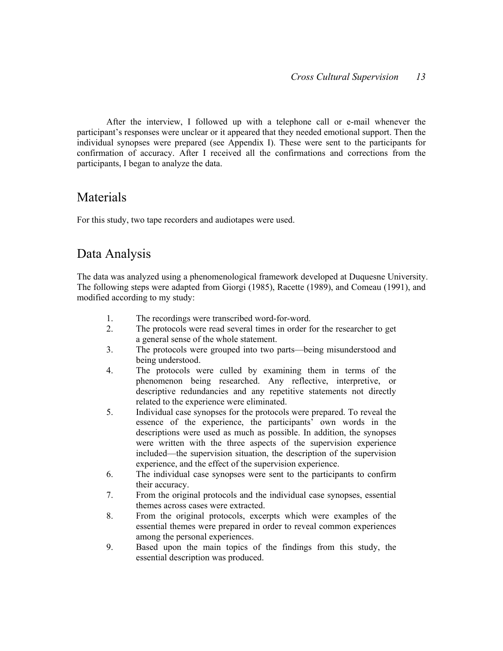After the interview, I followed up with a telephone call or e-mail whenever the participant's responses were unclear or it appeared that they needed emotional support. Then the individual synopses were prepared (see Appendix I). These were sent to the participants for confirmation of accuracy. After I received all the confirmations and corrections from the participants, I began to analyze the data.

## Materials

For this study, two tape recorders and audiotapes were used.

## Data Analysis

The data was analyzed using a phenomenological framework developed at Duquesne University. The following steps were adapted from Giorgi (1985), Racette (1989), and Comeau (1991), and modified according to my study:

- 1. The recordings were transcribed word-for-word.
- 2. The protocols were read several times in order for the researcher to get a general sense of the whole statement.
- 3. The protocols were grouped into two parts—being misunderstood and being understood.
- 4. The protocols were culled by examining them in terms of the phenomenon being researched. Any reflective, interpretive, or descriptive redundancies and any repetitive statements not directly related to the experience were eliminated.
- 5. Individual case synopses for the protocols were prepared. To reveal the essence of the experience, the participants' own words in the descriptions were used as much as possible. In addition, the synopses were written with the three aspects of the supervision experience included—the supervision situation, the description of the supervision experience, and the effect of the supervision experience.
- 6. The individual case synopses were sent to the participants to confirm their accuracy.
- 7. From the original protocols and the individual case synopses, essential themes across cases were extracted.
- 8. From the original protocols, excerpts which were examples of the essential themes were prepared in order to reveal common experiences among the personal experiences.
- 9. Based upon the main topics of the findings from this study, the essential description was produced.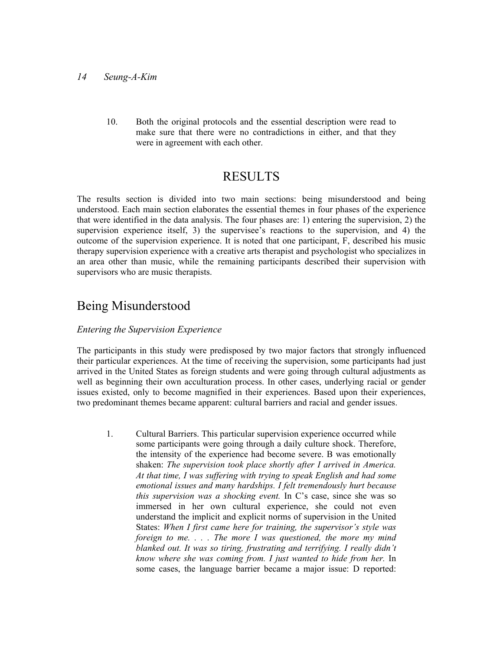10. Both the original protocols and the essential description were read to make sure that there were no contradictions in either, and that they were in agreement with each other.

## RESULTS

The results section is divided into two main sections: being misunderstood and being understood. Each main section elaborates the essential themes in four phases of the experience that were identified in the data analysis. The four phases are: 1) entering the supervision, 2) the supervision experience itself, 3) the supervisee's reactions to the supervision, and 4) the outcome of the supervision experience. It is noted that one participant, F, described his music therapy supervision experience with a creative arts therapist and psychologist who specializes in an area other than music, while the remaining participants described their supervision with supervisors who are music therapists.

## Being Misunderstood

#### Entering the Supervision Experience

The participants in this study were predisposed by two major factors that strongly influenced their particular experiences. At the time of receiving the supervision, some participants had just arrived in the United States as foreign students and were going through cultural adjustments as well as beginning their own acculturation process. In other cases, underlying racial or gender issues existed, only to become magnified in their experiences. Based upon their experiences, two predominant themes became apparent: cultural barriers and racial and gender issues.

1. Cultural Barriers. This particular supervision experience occurred while some participants were going through a daily culture shock. Therefore, the intensity of the experience had become severe. B was emotionally shaken: The supervision took place shortly after I arrived in America. At that time, I was suffering with trying to speak English and had some emotional issues and many hardships. I felt tremendously hurt because this supervision was a shocking event. In C's case, since she was so immersed in her own cultural experience, she could not even understand the implicit and explicit norms of supervision in the United States: When I first came here for training, the supervisor's style was foreign to me.  $\ldots$  The more I was questioned, the more my mind blanked out. It was so tiring, frustrating and terrifying. I really didn't know where she was coming from. I just wanted to hide from her. In some cases, the language barrier became a major issue: D reported: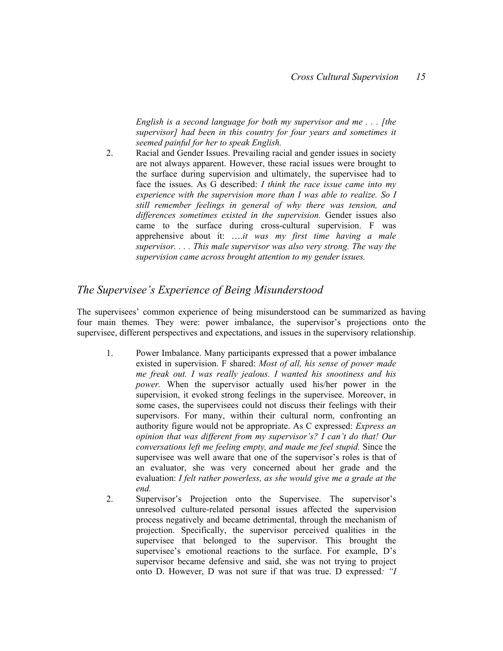English is a second language for both my supervisor and me... [the supervisor] had been in this country for four years and sometimes it seemed painful for her to speak English.

2. Racial and Gender Issues. Prevailing racial and gender issues in society are not always apparent. However, these racial issues were brought to the surface during supervision and ultimately, the supervisee had to face the issues. As G described: I think the race issue came into my experience with the supervision more than I was able to realize. So I still remember feelings in general of why there was tension, and differences sometimes existed in the supervision. Gender issues also came to the surface during cross-cultural supervision. F was apprehensive about it: ....it was my first time having a male supervisor. . . . This male supervisor was also very strong. The way the supervision came across brought attention to my gender issues.

#### The Supervisee's Experience of Being Misunderstood

The supervisees' common experience of being misunderstood can be summarized as having four main themes. They were: power imbalance, the supervisor's projections onto the supervisee, different perspectives and expectations, and issues in the supervisory relationship.

- 1. Power Imbalance. Many participants expressed that a power imbalance existed in supervision. F shared: Most of all, his sense of power made me freak out. I was really jealous. I wanted his snootiness and his power. When the supervisor actually used his/her power in the supervision, it evoked strong feelings in the supervisee. Moreover, in some cases, the supervisees could not discuss their feelings with their supervisors. For many, within their cultural norm, confronting an authority figure would not be appropriate. As C expressed: Express an opinion that was different from my supervisor's? I can't do that! Our conversations left me feeling empty, and made me feel stupid. Since the supervisee was well aware that one of the supervisor's roles is that of an evaluator, she was very concerned about her grade and the evaluation: I felt rather powerless, as she would give me a grade at the end.
- 2. Supervisor's Projection onto the Supervisee. The supervisor's unresolved culture-related personal issues affected the supervision process negatively and became detrimental, through the mechanism of projection. Specifically, the supervisor perceived qualities in the supervisee that belonged to the supervisor. This brought the supervisee's emotional reactions to the surface. For example, D's supervisor became defensive and said, she was not trying to project onto D. However, D was not sure if that was true. D expressed: "I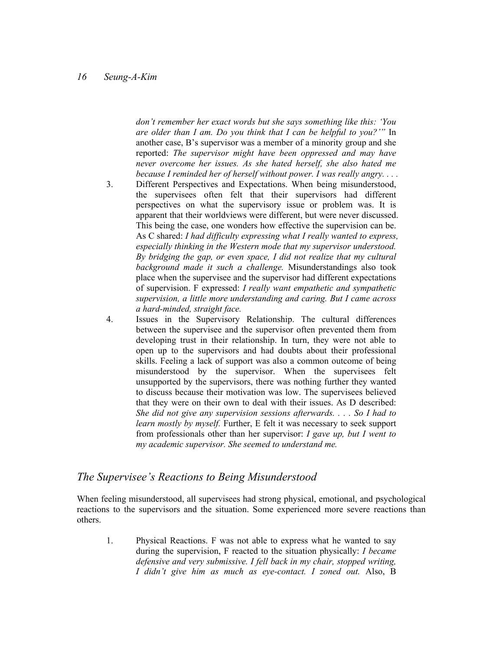don't remember her exact words but she says something like this: 'You are older than I am. Do you think that I can be helpful to you?'" In another case, B's supervisor was a member of a minority group and she reported: The supervisor might have been oppressed and may have never overcome her issues. As she hated herself, she also hated me because I reminded her of herself without power. I was really angry. . . .

- 3. Different Perspectives and Expectations. When being misunderstood, the supervisees often felt that their supervisors had different perspectives on what the supervisory issue or problem was. It is apparent that their worldviews were different, but were never discussed. This being the case, one wonders how effective the supervision can be. As C shared: *I had difficulty expressing what I really wanted to express.* especially thinking in the Western mode that my supervisor understood. By bridging the gap, or even space, I did not realize that my cultural background made it such a challenge. Misunderstandings also took place when the supervisee and the supervisor had different expectations of supervision. F expressed: I really want empathetic and sympathetic supervision, a little more understanding and caring. But I came across a hard-minded, straight face.
- 4. Issues in the Supervisory Relationship. The cultural differences between the supervisee and the supervisor often prevented them from developing trust in their relationship. In turn, they were not able to open up to the supervisors and had doubts about their professional skills. Feeling a lack of support was also a common outcome of being misunderstood by the supervisor. When the supervisees felt unsupported by the supervisors, there was nothing further they wanted to discuss because their motivation was low. The supervisees believed that they were on their own to deal with their issues. As D described: She did not give any supervision sessions afterwards. . . . So I had to learn mostly by myself. Further, E felt it was necessary to seek support from professionals other than her supervisor:  $I$  gave up, but  $I$  went to my academic supervisor. She seemed to understand me.

#### The Supervisee's Reactions to Being Misunderstood

When feeling misunderstood, all supervisees had strong physical, emotional, and psychological reactions to the supervisors and the situation. Some experienced more severe reactions than others.

1. Physical Reactions. F was not able to express what he wanted to say during the supervision, F reacted to the situation physically: I became defensive and very submissive. I fell back in my chair, stopped writing, I didn't give him as much as eye-contact. I zoned out. Also, B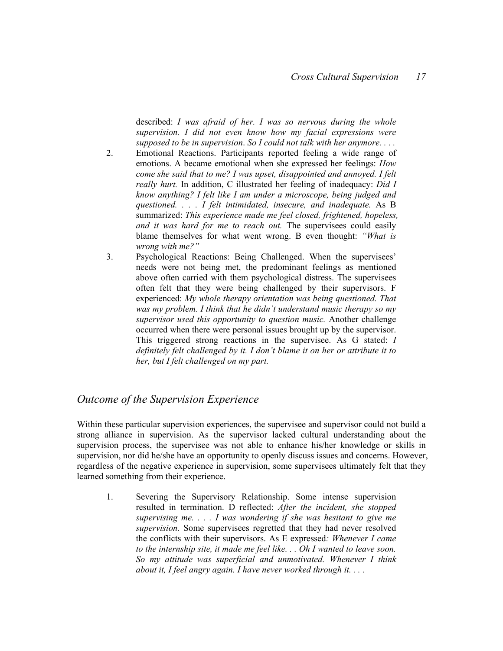described: I was afraid of her. I was so nervous during the whole supervision. I did not even know how my facial expressions were supposed to be in supervision. So I could not talk with her anymore....

- 2. Emotional Reactions. Participants reported feeling a wide range of emotions. A became emotional when she expressed her feelings: How come she said that to me? I was upset, disappointed and annoyed. I felt really hurt. In addition, C illustrated her feeling of inadequacy: Did I know anything? I felt like I am under a microscope, being judged and questioned. . . . I felt intimidated, insecure, and inadequate. As B summarized: This experience made me feel closed, frightened, hopeless, and it was hard for me to reach out. The supervisees could easily blame themselves for what went wrong. B even thought: "What is wrong with me?"
- 3. Psychological Reactions: Being Challenged. When the supervisees' needs were not being met, the predominant feelings as mentioned above often carried with them psychological distress. The supervisees often felt that they were being challenged by their supervisors. F experienced: My whole therapy orientation was being questioned. That was my problem. I think that he didn't understand music therapy so my supervisor used this opportunity to question music. Another challenge occurred when there were personal issues brought up by the supervisor. This triggered strong reactions in the supervisee. As G stated: I definitely felt challenged by it. I don't blame it on her or attribute it to her, but I felt challenged on my part.

#### Outcome of the Supervision Experience

Within these particular supervision experiences, the supervisee and supervisor could not build a strong alliance in supervision. As the supervisor lacked cultural understanding about the supervision process, the supervisee was not able to enhance his/her knowledge or skills in supervision, nor did he/she have an opportunity to openly discuss issues and concerns. However, regardless of the negative experience in supervision, some supervisees ultimately felt that they learned something from their experience.

1. Severing the Supervisory Relationship. Some intense supervision resulted in termination. D reflected: After the incident, she stopped supervising me.  $\ldots$  I was wondering if she was hesitant to give me supervision. Some supervisees regretted that they had never resolved the conflicts with their supervisors. As E expressed: Whenever I came to the internship site, it made me feel like. . . Oh I wanted to leave soon. So my attitude was superficial and unmotivated. Whenever I think about it, I feel angry again. I have never worked through it.  $\dots$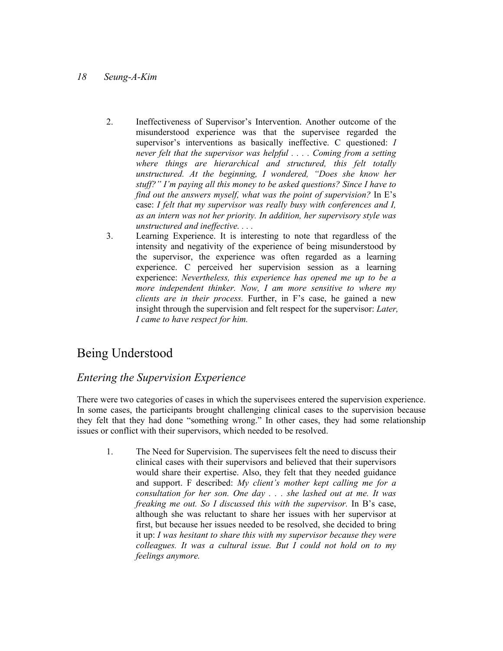- 2. Ineffectiveness of Supervisor's Intervention. Another outcome of the misunderstood experience was that the supervisee regarded the supervisor's interventions as basically ineffective. C questioned: I never felt that the supervisor was helpful . . . . Coming from a setting where things are hierarchical and structured, this felt totally unstructured. At the beginning, I wondered, "Does she know her stuff?" I'm paying all this money to be asked questions? Since I have to find out the answers myself, what was the point of supervision? In  $E$ 's case: I felt that my supervisor was really busy with conferences and I, as an intern was not her priority. In addition, her supervisory style was unstructured and ineffective. . . .
- 3. Learning Experience. It is interesting to note that regardless of the intensity and negativity of the experience of being misunderstood by the supervisor, the experience was often regarded as a learning experience. C perceived her supervision session as a learning experience: Nevertheless, this experience has opened me up to be a more independent thinker. Now, I am more sensitive to where my clients are in their process. Further, in F's case, he gained a new insight through the supervision and felt respect for the supervisor: Later, I came to have respect for him.

## Being Understood

#### Entering the Supervision Experience

There were two categories of cases in which the supervisees entered the supervision experience. In some cases, the participants brought challenging clinical cases to the supervision because they felt that they had done "something wrong." In other cases, they had some relationship issues or conflict with their supervisors, which needed to be resolved.

1. The Need for Supervision. The supervisees felt the need to discuss their clinical cases with their supervisors and believed that their supervisors would share their expertise. Also, they felt that they needed guidance and support. F described: My client's mother kept calling me for a consultation for her son. One day . . . she lashed out at me. It was freaking me out. So I discussed this with the supervisor. In B's case, although she was reluctant to share her issues with her supervisor at first, but because her issues needed to be resolved, she decided to bring it up: I was hesitant to share this with my supervisor because they were colleagues. It was a cultural issue. But I could not hold on to my feelings anymore.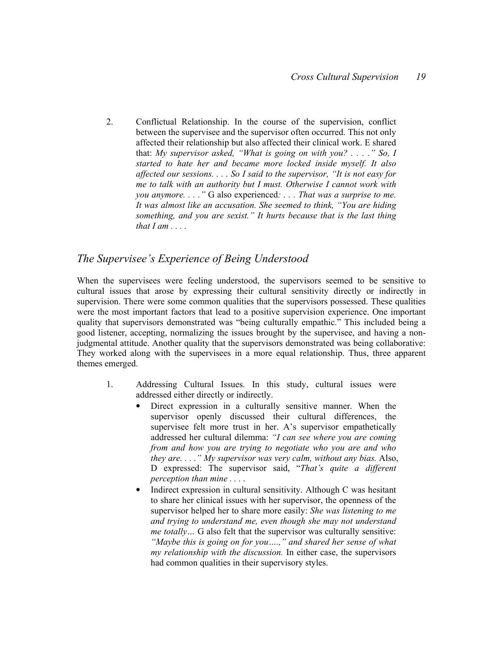2. Conflictual Relationship. In the course of the supervision, conflict between the supervisee and the supervisor often occurred. This not only affected their relationship but also affected their clinical work. E shared that: My supervisor asked, "What is going on with you? . . . ." So, I started to hate her and became more locked inside myself. It also affected our sessions. . . . So I said to the supervisor, "It is not easy for me to talk with an authority but I must. Otherwise I cannot work with you anymore. . . ." G also experienced: . . . That was a surprise to me. It was almost like an accusation. She seemed to think, "You are hiding something, and you are sexist." It hurts because that is the last thing that  $I$  am  $\ldots$ .

#### The Supervisee's Experience of Being Understood

When the supervisees were feeling understood, the supervisors seemed to be sensitive to cultural issues that arose by expressing their cultural sensitivity directly or indirectly in supervision. There were some common qualities that the supervisors possessed. These qualities were the most important factors that lead to a positive supervision experience. One important quality that supervisors demonstrated was "being culturally empathic." This included being a good listener, accepting, normalizing the issues brought by the supervisee, and having a nonjudgmental attitude. Another quality that the supervisors demonstrated was being collaborative: They worked along with the supervisees in a more equal relationship. Thus, three apparent themes emerged.

- 1. Addressing Cultural Issues. In this study, cultural issues were addressed either directly or indirectly.
	- Direct expression in a culturally sensitive manner. When the supervisor openly discussed their cultural differences, the supervisee felt more trust in her. A's supervisor empathetically addressed her cultural dilemma: "I can see where you are coming from and how you are trying to negotiate who you are and who they are.  $\ldots$  " My supervisor was very calm, without any bias. Also, D expressed: The supervisor said, "That's quite a different perception than mine . . . .
	- Indirect expression in cultural sensitivity. Although C was hesitant to share her clinical issues with her supervisor, the openness of the supervisor helped her to share more easily: She was listening to me and trying to understand me, even though she may not understand me totally... G also felt that the supervisor was culturally sensitive: "Maybe this is going on for you....," and shared her sense of what my relationship with the discussion. In either case, the supervisors had common qualities in their supervisory styles.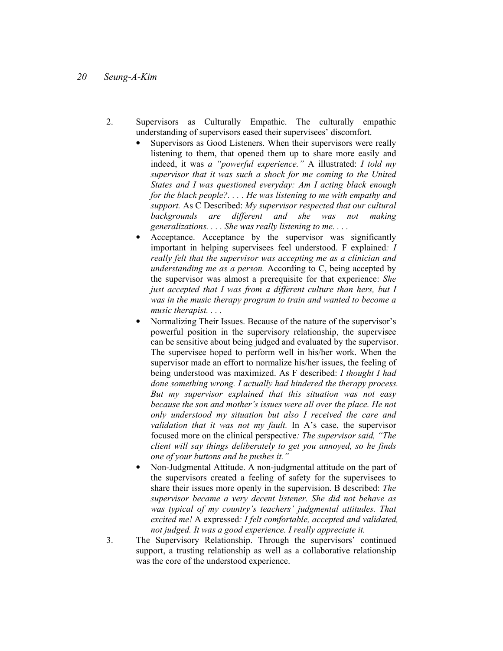- 2. Supervisors as Culturally Empathic. The culturally empathic understanding of supervisors eased their supervisees' discomfort.
	- Supervisors as Good Listeners. When their supervisors were really listening to them, that opened them up to share more easily and indeed, it was a "powerful experience." A illustrated: I told my supervisor that it was such a shock for me coming to the United States and I was questioned everyday: Am I acting black enough for the black people?. . . . He was listening to me with empathy and support. As C Described: My supervisor respected that our cultural backgrounds are different and she was not making generalizations. . . . She was really listening to me. . . .
	- Acceptance. Acceptance by the supervisor was significantly important in helping supervisees feel understood. F explained: I really felt that the supervisor was accepting me as a clinician and understanding me as a person. According to  $C$ , being accepted by the supervisor was almost a prerequisite for that experience: She just accepted that I was from a different culture than hers, but I was in the music therapy program to train and wanted to become a music therapist. . . .
	- Normalizing Their Issues. Because of the nature of the supervisor's powerful position in the supervisory relationship, the supervisee can be sensitive about being judged and evaluated by the supervisor. The supervisee hoped to perform well in his/her work. When the supervisor made an effort to normalize his/her issues, the feeling of being understood was maximized. As F described: *I thought I had* done something wrong. I actually had hindered the therapy process. But my supervisor explained that this situation was not easy because the son and mother's issues were all over the place. He not only understood my situation but also I received the care and validation that it was not my fault. In A's case, the supervisor focused more on the clinical perspective: The supervisor said, "The client will say things deliberately to get you annoyed, so he finds one of your buttons and he pushes it."
	- Non-Judgmental Attitude. A non-judgmental attitude on the part of the supervisors created a feeling of safety for the supervisees to share their issues more openly in the supervision. B described: The supervisor became a very decent listener. She did not behave as was typical of my country's teachers' judgmental attitudes. That excited me! A expressed: I felt comfortable, accepted and validated, not judged. It was a good experience. I really appreciate it.
- 3. The Supervisory Relationship. Through the supervisors' continued support, a trusting relationship as well as a collaborative relationship was the core of the understood experience.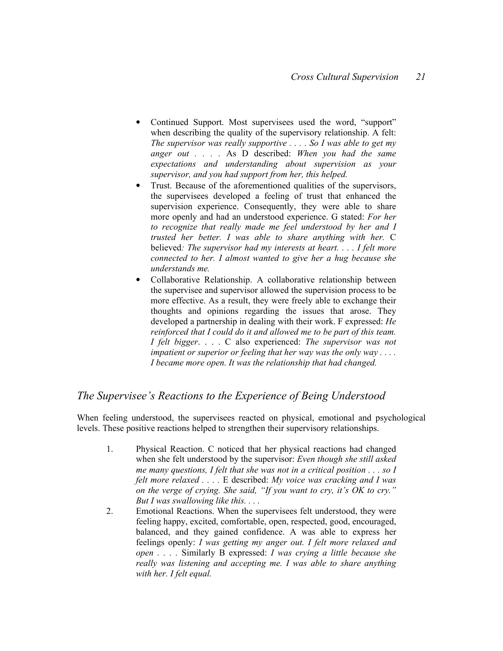- Continued Support. Most supervisees used the word, "support" when describing the quality of the supervisory relationship. A felt: The supervisor was really supportive  $\ldots$ . So I was able to get my anger out  $\ldots$  . As D described: When you had the same expectations and understanding about supervision as your supervisor, and you had support from her, this helped.
- Trust. Because of the aforementioned qualities of the supervisors, the supervisees developed a feeling of trust that enhanced the supervision experience. Consequently, they were able to share more openly and had an understood experience. G stated: For her to recognize that really made me feel understood by her and I trusted her better. I was able to share anything with her. C believed: The supervisor had my interests at heart. . . . I felt more connected to her. I almost wanted to give her a hug because she understands me.
- Collaborative Relationship. A collaborative relationship between the supervisee and supervisor allowed the supervision process to be more effective. As a result, they were freely able to exchange their thoughts and opinions regarding the issues that arose. They developed a partnership in dealing with their work. F expressed: He reinforced that I could do it and allowed me to be part of this team. I felt bigger. . . . C also experienced: The supervisor was not impatient or superior or feeling that her way was the only way .... I became more open. It was the relationship that had changed.

#### The Supervisee's Reactions to the Experience of Being Understood

When feeling understood, the supervisees reacted on physical, emotional and psychological levels. These positive reactions helped to strengthen their supervisory relationships.

- 1. Physical Reaction. C noticed that her physical reactions had changed when she felt understood by the supervisor: Even though she still asked me many questions, I felt that she was not in a critical position  $\ldots$  so I felt more relaxed  $\dots$ . E described: My voice was cracking and I was on the verge of crying. She said, "If you want to cry, it's  $\overline{OK}$  to cry." But I was swallowing like this.  $\dots$
- 2. Emotional Reactions. When the supervisees felt understood, they were feeling happy, excited, comfortable, open, respected, good, encouraged, balanced, and they gained confidence. A was able to express her feelings openly: I was getting my anger out. I felt more relaxed and open . . . . Similarly B expressed: I was crying a little because she really was listening and accepting me. I was able to share anything with her. I felt equal.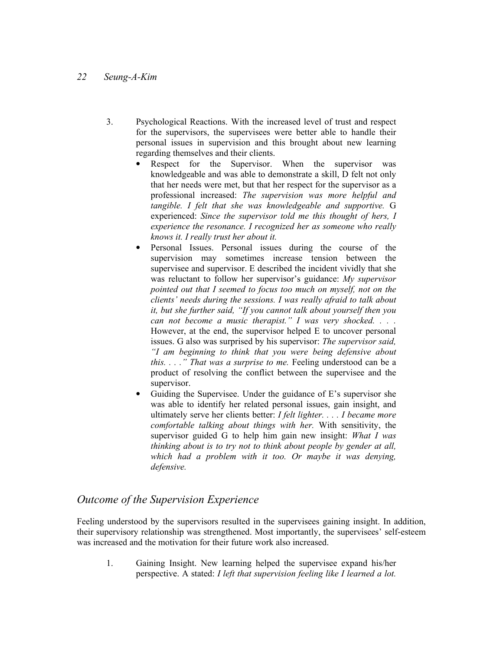- 3. Psychological Reactions. With the increased level of trust and respect for the supervisors, the supervisees were better able to handle their personal issues in supervision and this brought about new learning regarding themselves and their clients.
	- Respect for the Supervisor. When the supervisor was knowledgeable and was able to demonstrate a skill, D felt not only that her needs were met, but that her respect for the supervisor as a professional increased: The supervision was more helpful and tangible. I felt that she was knowledgeable and supportive. G experienced: Since the supervisor told me this thought of hers, I experience the resonance. I recognized her as someone who really knows it. I really trust her about it.
	- Personal Issues. Personal issues during the course of the supervision may sometimes increase tension between the supervisee and supervisor. E described the incident vividly that she was reluctant to follow her supervisor's guidance: My supervisor pointed out that I seemed to focus too much on myself, not on the clients' needs during the sessions. I was really afraid to talk about it, but she further said, "If you cannot talk about yourself then you can not become a music therapist." I was very shocked. . . . However, at the end, the supervisor helped E to uncover personal issues. G also was surprised by his supervisor: The supervisor said, "I am beginning to think that you were being defensive about this.  $\ldots$  " That was a surprise to me. Feeling understood can be a product of resolving the conflict between the supervisee and the supervisor.
	- Guiding the Supervisee. Under the guidance of E's supervisor she was able to identify her related personal issues, gain insight, and ultimately serve her clients better: *I felt lighter.* . . . *I became more* comfortable talking about things with her. With sensitivity, the supervisor guided G to help him gain new insight: What I was thinking about is to try not to think about people by gender at all, which had a problem with it too. Or maybe it was denying, defensive.

#### Outcome of the Supervision Experience

Feeling understood by the supervisors resulted in the supervisees gaining insight. In addition, their supervisory relationship was strengthened. Most importantly, the supervisees' self-esteem was increased and the motivation for their future work also increased.

1. Gaining Insight. New learning helped the supervisee expand his/her perspective. A stated: I left that supervision feeling like I learned a lot.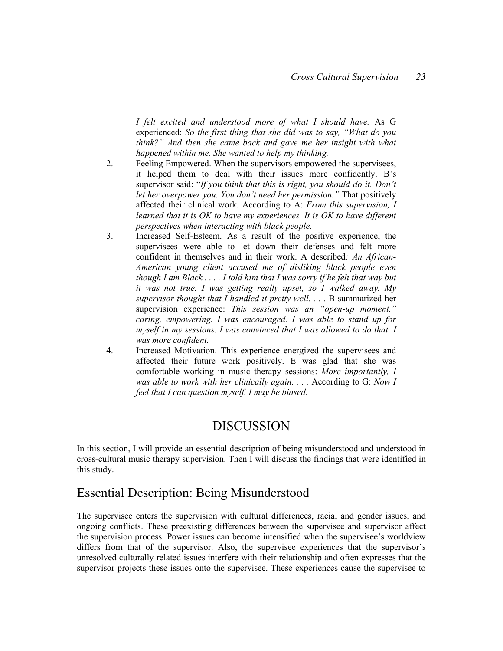I felt excited and understood more of what I should have. As G experienced: So the first thing that she did was to say, "What do you think?" And then she came back and gave me her insight with what happened within me. She wanted to help my thinking.

- 2. Feeling Empowered. When the supervisors empowered the supervisees, it helped them to deal with their issues more confidently. B's supervisor said: "If you think that this is right, you should do it. Don't let her overpower you. You don't need her permission." That positively affected their clinical work. According to A: From this supervision, I learned that it is OK to have my experiences. It is OK to have different perspectives when interacting with black people.
- 3. Increased Self-Esteem. As a result of the positive experience, the supervisees were able to let down their defenses and felt more confident in themselves and in their work. A described: An African-American young client accused me of disliking black people even though I am Black  $\dots$ . I told him that I was sorry if he felt that way but it was not true. I was getting really upset, so I walked away. My supervisor thought that I handled it pretty well. . . . B summarized her supervision experience: This session was an "open-up moment," caring, empowering. I was encouraged. I was able to stand up for myself in my sessions. I was convinced that I was allowed to do that. I was more confident.
- 4. Increased Motivation. This experience energized the supervisees and affected their future work positively. E was glad that she was comfortable working in music therapy sessions: More importantly, I was able to work with her clinically again. . . . According to G: Now I feel that I can question myself. I may be biased.

## DISCUSSION

In this section, I will provide an essential description of being misunderstood and understood in cross-cultural music therapy supervision. Then I will discuss the findings that were identified in this study.

## Essential Description: Being Misunderstood

The supervisee enters the supervision with cultural differences, racial and gender issues, and ongoing conflicts. These preexisting differences between the supervisee and supervisor affect the supervision process. Power issues can become intensified when the supervisee's worldview differs from that of the supervisor. Also, the supervisee experiences that the supervisor's unresolved culturally related issues interfere with their relationship and often expresses that the supervisor projects these issues onto the supervisee. These experiences cause the supervisee to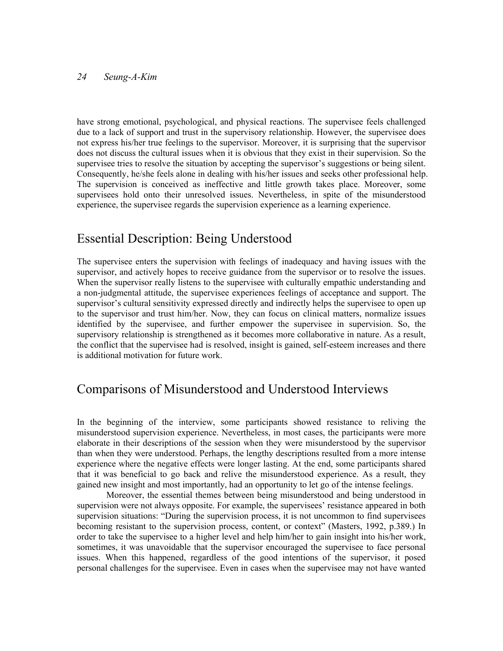have strong emotional, psychological, and physical reactions. The supervisee feels challenged due to a lack of support and trust in the supervisory relationship. However, the supervisee does not express his/her true feelings to the supervisor. Moreover, it is surprising that the supervisor does not discuss the cultural issues when it is obvious that they exist in their supervision. So the supervisee tries to resolve the situation by accepting the supervisor's suggestions or being silent. Consequently, he/she feels alone in dealing with his/her issues and seeks other professional help. The supervision is conceived as ineffective and little growth takes place. Moreover, some supervisees hold onto their unresolved issues. Nevertheless, in spite of the misunderstood experience, the supervisee regards the supervision experience as a learning experience.

## Essential Description: Being Understood

The supervisee enters the supervision with feelings of inadequacy and having issues with the supervisor, and actively hopes to receive guidance from the supervisor or to resolve the issues. When the supervisor really listens to the supervisee with culturally empathic understanding and a non-judgmental attitude, the supervisee experiences feelings of acceptance and support. The supervisor's cultural sensitivity expressed directly and indirectly helps the supervisee to open up to the supervisor and trust him/her. Now, they can focus on clinical matters, normalize issues identified by the supervisee, and further empower the supervisee in supervision. So, the supervisory relationship is strengthened as it becomes more collaborative in nature. As a result, the conflict that the supervisee had is resolved, insight is gained, self-esteem increases and there is additional motivation for future work.

## Comparisons of Misunderstood and Understood Interviews

In the beginning of the interview, some participants showed resistance to reliving the misunderstood supervision experience. Nevertheless, in most cases, the participants were more elaborate in their descriptions of the session when they were misunderstood by the supervisor than when they were understood. Perhaps, the lengthy descriptions resulted from a more intense experience where the negative effects were longer lasting. At the end, some participants shared that it was beneficial to go back and relive the misunderstood experience. As a result, they gained new insight and most importantly, had an opportunity to let go of the intense feelings.

Moreover, the essential themes between being misunderstood and being understood in supervision were not always opposite. For example, the supervisees' resistance appeared in both supervision situations: "During the supervision process, it is not uncommon to find supervisees becoming resistant to the supervision process, content, or context" (Masters, 1992, p.389.) In order to take the supervisee to a higher level and help him/her to gain insight into his/her work, sometimes, it was unavoidable that the supervisor encouraged the supervisee to face personal issues. When this happened, regardless of the good intentions of the supervisor, it posed personal challenges for the supervisee. Even in cases when the supervisee may not have wanted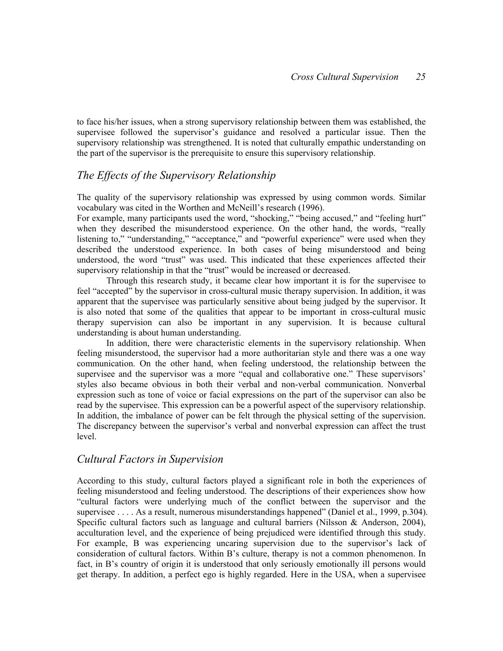to face his/her issues, when a strong supervisory relationship between them was established, the supervisee followed the supervisor's guidance and resolved a particular issue. Then the supervisory relationship was strengthened. It is noted that culturally empathic understanding on the part of the supervisor is the prerequisite to ensure this supervisory relationship.

### The Effects of the Supervisory Relationship

The quality of the supervisory relationship was expressed by using common words. Similar vocabulary was cited in the Worthen and McNeill's research (1996).

For example, many participants used the word, "shocking," "being accused," and "feeling hurt" when they described the misunderstood experience. On the other hand, the words, "really listening to," "understanding," "acceptance," and "powerful experience" were used when they described the understood experience. In both cases of being misunderstood and being understood, the word "trust" was used. This indicated that these experiences affected their supervisory relationship in that the "trust" would be increased or decreased.

Through this research study, it became clear how important it is for the supervisee to feel "accepted" by the supervisor in cross-cultural music therapy supervision. In addition, it was apparent that the supervisee was particularly sensitive about being judged by the supervisor. It is also noted that some of the qualities that appear to be important in cross-cultural music therapy supervision can also be important in any supervision. It is because cultural understanding is about human understanding.

 In addition, there were characteristic elements in the supervisory relationship. When feeling misunderstood, the supervisor had a more authoritarian style and there was a one way communication. On the other hand, when feeling understood, the relationship between the supervisee and the supervisor was a more "equal and collaborative one." These supervisors' styles also became obvious in both their verbal and non-verbal communication. Nonverbal expression such as tone of voice or facial expressions on the part of the supervisor can also be read by the supervisee. This expression can be a powerful aspect of the supervisory relationship. In addition, the imbalance of power can be felt through the physical setting of the supervision. The discrepancy between the supervisor's verbal and nonverbal expression can affect the trust level.

#### Cultural Factors in Supervision

According to this study, cultural factors played a significant role in both the experiences of feeling misunderstood and feeling understood. The descriptions of their experiences show how "cultural factors were underlying much of the conflict between the supervisor and the supervisee . . . . As a result, numerous misunderstandings happened" (Daniel et al., 1999, p.304). Specific cultural factors such as language and cultural barriers (Nilsson & Anderson, 2004), acculturation level, and the experience of being prejudiced were identified through this study. For example, B was experiencing uncaring supervision due to the supervisor's lack of consideration of cultural factors. Within B's culture, therapy is not a common phenomenon. In fact, in B's country of origin it is understood that only seriously emotionally ill persons would get therapy. In addition, a perfect ego is highly regarded. Here in the USA, when a supervisee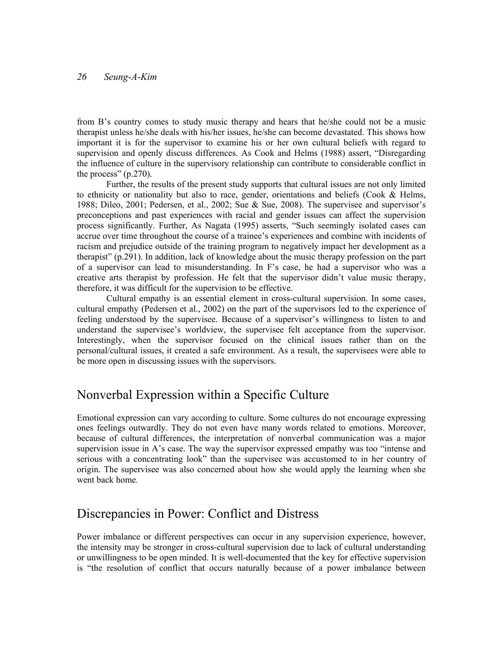from B's country comes to study music therapy and hears that he/she could not be a music therapist unless he/she deals with his/her issues, he/she can become devastated. This shows how important it is for the supervisor to examine his or her own cultural beliefs with regard to supervision and openly discuss differences. As Cook and Helms (1988) assert, "Disregarding the influence of culture in the supervisory relationship can contribute to considerable conflict in the process" (p.270).

Further, the results of the present study supports that cultural issues are not only limited to ethnicity or nationality but also to race, gender, orientations and beliefs (Cook  $\&$  Helms, 1988; Dileo, 2001; Pedersen, et al., 2002; Sue & Sue, 2008). The supervisee and supervisor's preconceptions and past experiences with racial and gender issues can affect the supervision process significantly. Further, As Nagata (1995) asserts, "Such seemingly isolated cases can accrue over time throughout the course of a trainee's experiences and combine with incidents of racism and prejudice outside of the training program to negatively impact her development as a therapist" (p.291). In addition, lack of knowledge about the music therapy profession on the part of a supervisor can lead to misunderstanding. In F's case, he had a supervisor who was a creative arts therapist by profession. He felt that the supervisor didn't value music therapy, therefore, it was difficult for the supervision to be effective.

Cultural empathy is an essential element in cross-cultural supervision. In some cases, cultural empathy (Pedersen et al., 2002) on the part of the supervisors led to the experience of feeling understood by the supervisee. Because of a supervisor's willingness to listen to and understand the supervisee's worldview, the supervisee felt acceptance from the supervisor. Interestingly, when the supervisor focused on the clinical issues rather than on the personal/cultural issues, it created a safe environment. As a result, the supervisees were able to be more open in discussing issues with the supervisors.

## Nonverbal Expression within a Specific Culture

Emotional expression can vary according to culture. Some cultures do not encourage expressing ones feelings outwardly. They do not even have many words related to emotions. Moreover, because of cultural differences, the interpretation of nonverbal communication was a major supervision issue in A's case. The way the supervisor expressed empathy was too "intense and serious with a concentrating look" than the supervisee was accustomed to in her country of origin. The supervisee was also concerned about how she would apply the learning when she went back home.

## Discrepancies in Power: Conflict and Distress

Power imbalance or different perspectives can occur in any supervision experience, however, the intensity may be stronger in cross-cultural supervision due to lack of cultural understanding or unwillingness to be open minded. It is well-documented that the key for effective supervision is "the resolution of conflict that occurs naturally because of a power imbalance between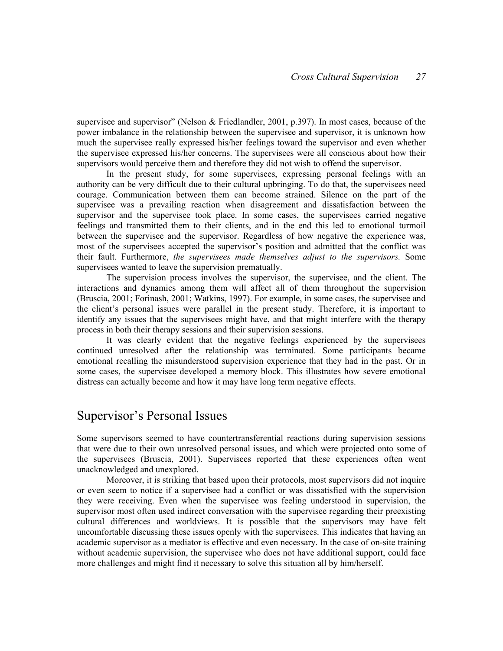supervisee and supervisor" (Nelson & Friedlandler, 2001, p.397). In most cases, because of the power imbalance in the relationship between the supervisee and supervisor, it is unknown how much the supervisee really expressed his/her feelings toward the supervisor and even whether the supervisee expressed his/her concerns. The supervisees were all conscious about how their supervisors would perceive them and therefore they did not wish to offend the supervisor.

In the present study, for some supervisees, expressing personal feelings with an authority can be very difficult due to their cultural upbringing. To do that, the supervisees need courage. Communication between them can become strained. Silence on the part of the supervisee was a prevailing reaction when disagreement and dissatisfaction between the supervisor and the supervisee took place. In some cases, the supervisees carried negative feelings and transmitted them to their clients, and in the end this led to emotional turmoil between the supervisee and the supervisor. Regardless of how negative the experience was, most of the supervisees accepted the supervisor's position and admitted that the conflict was their fault. Furthermore, the supervisees made themselves adjust to the supervisors. Some supervisees wanted to leave the supervision prematually.

The supervision process involves the supervisor, the supervisee, and the client. The interactions and dynamics among them will affect all of them throughout the supervision (Bruscia, 2001; Forinash, 2001; Watkins, 1997). For example, in some cases, the supervisee and the client's personal issues were parallel in the present study. Therefore, it is important to identify any issues that the supervisees might have, and that might interfere with the therapy process in both their therapy sessions and their supervision sessions.

It was clearly evident that the negative feelings experienced by the supervisees continued unresolved after the relationship was terminated. Some participants became emotional recalling the misunderstood supervision experience that they had in the past. Or in some cases, the supervisee developed a memory block. This illustrates how severe emotional distress can actually become and how it may have long term negative effects.

### Supervisor's Personal Issues

Some supervisors seemed to have countertransferential reactions during supervision sessions that were due to their own unresolved personal issues, and which were projected onto some of the supervisees (Bruscia, 2001). Supervisees reported that these experiences often went unacknowledged and unexplored.

Moreover, it is striking that based upon their protocols, most supervisors did not inquire or even seem to notice if a supervisee had a conflict or was dissatisfied with the supervision they were receiving. Even when the supervisee was feeling understood in supervision, the supervisor most often used indirect conversation with the supervisee regarding their preexisting cultural differences and worldviews. It is possible that the supervisors may have felt uncomfortable discussing these issues openly with the supervisees. This indicates that having an academic supervisor as a mediator is effective and even necessary. In the case of on-site training without academic supervision, the supervisee who does not have additional support, could face more challenges and might find it necessary to solve this situation all by him/herself.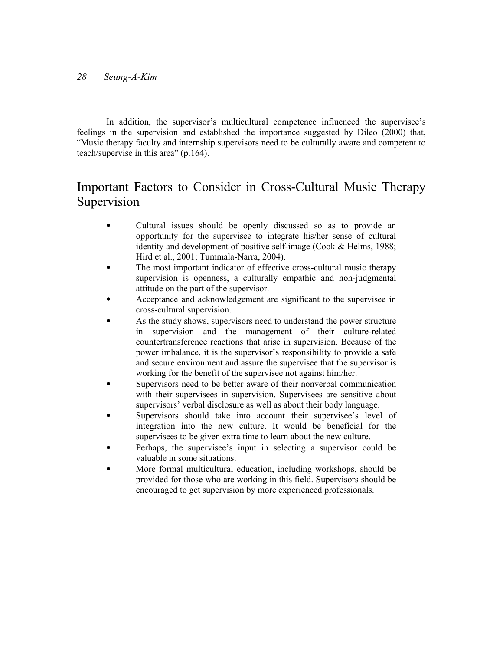In addition, the supervisor's multicultural competence influenced the supervisee's feelings in the supervision and established the importance suggested by Dileo (2000) that, "Music therapy faculty and internship supervisors need to be culturally aware and competent to teach/supervise in this area" (p.164).

## Important Factors to Consider in Cross-Cultural Music Therapy Supervision

- Cultural issues should be openly discussed so as to provide an opportunity for the supervisee to integrate his/her sense of cultural identity and development of positive self-image (Cook & Helms, 1988; Hird et al., 2001; Tummala-Narra, 2004).
- The most important indicator of effective cross-cultural music therapy supervision is openness, a culturally empathic and non-judgmental attitude on the part of the supervisor.
- Acceptance and acknowledgement are significant to the supervisee in cross-cultural supervision.
- As the study shows, supervisors need to understand the power structure in supervision and the management of their culture-related countertransference reactions that arise in supervision. Because of the power imbalance, it is the supervisor's responsibility to provide a safe and secure environment and assure the supervisee that the supervisor is working for the benefit of the supervisee not against him/her.
- Supervisors need to be better aware of their nonverbal communication with their supervisees in supervision. Supervisees are sensitive about supervisors' verbal disclosure as well as about their body language.
- Supervisors should take into account their supervisee's level of integration into the new culture. It would be beneficial for the supervisees to be given extra time to learn about the new culture.
- Perhaps, the supervisee's input in selecting a supervisor could be valuable in some situations.
- More formal multicultural education, including workshops, should be provided for those who are working in this field. Supervisors should be encouraged to get supervision by more experienced professionals.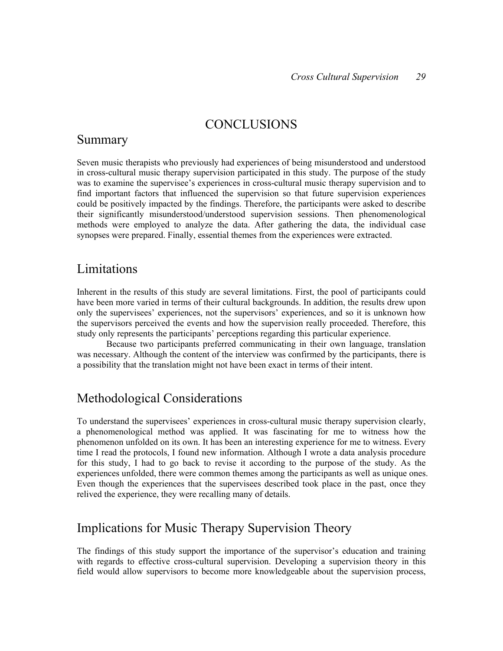### **CONCLUSIONS**

### Summary

Seven music therapists who previously had experiences of being misunderstood and understood in cross-cultural music therapy supervision participated in this study. The purpose of the study was to examine the supervisee's experiences in cross-cultural music therapy supervision and to find important factors that influenced the supervision so that future supervision experiences could be positively impacted by the findings. Therefore, the participants were asked to describe their significantly misunderstood/understood supervision sessions. Then phenomenological methods were employed to analyze the data. After gathering the data, the individual case synopses were prepared. Finally, essential themes from the experiences were extracted.

## Limitations

Inherent in the results of this study are several limitations. First, the pool of participants could have been more varied in terms of their cultural backgrounds. In addition, the results drew upon only the supervisees' experiences, not the supervisors' experiences, and so it is unknown how the supervisors perceived the events and how the supervision really proceeded. Therefore, this study only represents the participants' perceptions regarding this particular experience.

Because two participants preferred communicating in their own language, translation was necessary. Although the content of the interview was confirmed by the participants, there is a possibility that the translation might not have been exact in terms of their intent.

## Methodological Considerations

To understand the supervisees' experiences in cross-cultural music therapy supervision clearly, a phenomenological method was applied. It was fascinating for me to witness how the phenomenon unfolded on its own. It has been an interesting experience for me to witness. Every time I read the protocols, I found new information. Although I wrote a data analysis procedure for this study, I had to go back to revise it according to the purpose of the study. As the experiences unfolded, there were common themes among the participants as well as unique ones. Even though the experiences that the supervisees described took place in the past, once they relived the experience, they were recalling many of details.

## Implications for Music Therapy Supervision Theory

The findings of this study support the importance of the supervisor's education and training with regards to effective cross-cultural supervision. Developing a supervision theory in this field would allow supervisors to become more knowledgeable about the supervision process,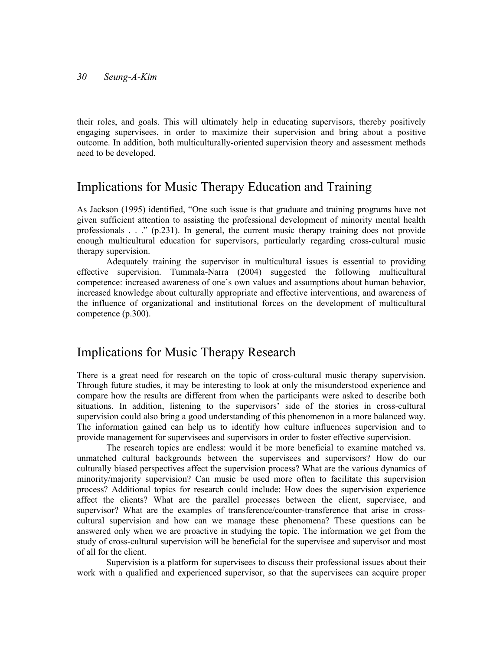their roles, and goals. This will ultimately help in educating supervisors, thereby positively engaging supervisees, in order to maximize their supervision and bring about a positive outcome. In addition, both multiculturally-oriented supervision theory and assessment methods need to be developed.

### Implications for Music Therapy Education and Training

As Jackson (1995) identified, "One such issue is that graduate and training programs have not given sufficient attention to assisting the professional development of minority mental health professionals . . ." (p.231). In general, the current music therapy training does not provide enough multicultural education for supervisors, particularly regarding cross-cultural music therapy supervision.

Adequately training the supervisor in multicultural issues is essential to providing effective supervision. Tummala-Narra (2004) suggested the following multicultural competence: increased awareness of one's own values and assumptions about human behavior, increased knowledge about culturally appropriate and effective interventions, and awareness of the influence of organizational and institutional forces on the development of multicultural competence (p.300).

## Implications for Music Therapy Research

There is a great need for research on the topic of cross-cultural music therapy supervision. Through future studies, it may be interesting to look at only the misunderstood experience and compare how the results are different from when the participants were asked to describe both situations. In addition, listening to the supervisors' side of the stories in cross-cultural supervision could also bring a good understanding of this phenomenon in a more balanced way. The information gained can help us to identify how culture influences supervision and to provide management for supervisees and supervisors in order to foster effective supervision.

 The research topics are endless: would it be more beneficial to examine matched vs. unmatched cultural backgrounds between the supervisees and supervisors? How do our culturally biased perspectives affect the supervision process? What are the various dynamics of minority/majority supervision? Can music be used more often to facilitate this supervision process? Additional topics for research could include: How does the supervision experience affect the clients? What are the parallel processes between the client, supervisee, and supervisor? What are the examples of transference/counter-transference that arise in crosscultural supervision and how can we manage these phenomena? These questions can be answered only when we are proactive in studying the topic. The information we get from the study of cross-cultural supervision will be beneficial for the supervisee and supervisor and most of all for the client.

Supervision is a platform for supervisees to discuss their professional issues about their work with a qualified and experienced supervisor, so that the supervisees can acquire proper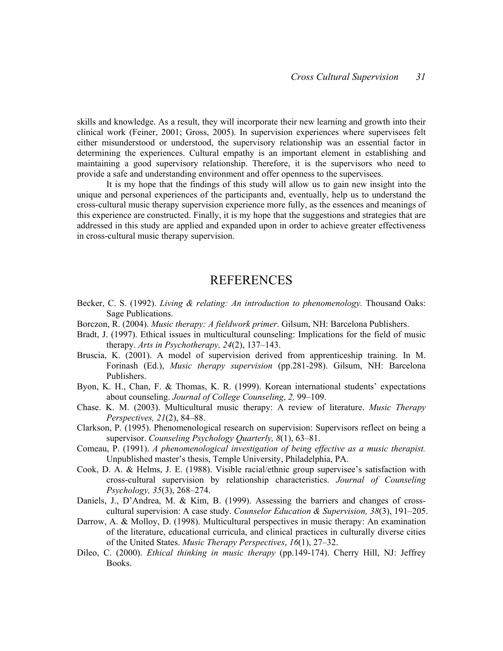skills and knowledge. As a result, they will incorporate their new learning and growth into their clinical work (Feiner, 2001; Gross, 2005). In supervision experiences where supervisees felt either misunderstood or understood, the supervisory relationship was an essential factor in determining the experiences. Cultural empathy is an important element in establishing and maintaining a good supervisory relationship. Therefore, it is the supervisors who need to provide a safe and understanding environment and offer openness to the supervisees.

It is my hope that the findings of this study will allow us to gain new insight into the unique and personal experiences of the participants and, eventually, help us to understand the cross-cultural music therapy supervision experience more fully, as the essences and meanings of this experience are constructed. Finally, it is my hope that the suggestions and strategies that are addressed in this study are applied and expanded upon in order to achieve greater effectiveness in cross-cultural music therapy supervision.

### REFERENCES

- Becker, C. S. (1992). Living & relating: An introduction to phenomenology. Thousand Oaks: Sage Publications.
- Borczon, R. (2004). *Music therapy: A fieldwork primer*. Gilsum, NH: Barcelona Publishers.
- Bradt, J. (1997). Ethical issues in multicultural counseling: Implications for the field of music therapy. Arts in Psychotherapy, 24(2), 137–143.
- Bruscia, K. (2001). A model of supervision derived from apprenticeship training. In M. Forinash (Ed.), Music therapy supervision (pp.281-298). Gilsum, NH: Barcelona Publishers.
- Byon, K. H., Chan, F. & Thomas, K. R. (1999). Korean international students' expectations about counseling. Journal of College Counseling, 2, 99–109.
- Chase. K. M. (2003). Multicultural music therapy: A review of literature. Music Therapy Perspectives, 21(2), 84–88.
- Clarkson, P. (1995). Phenomenological research on supervision: Supervisors reflect on being a supervisor. Counseling Psychology Quarterly, 8(1), 63-81.
- Comeau, P. (1991). A phenomenological investigation of being effective as a music therapist. Unpublished master's thesis, Temple University, Philadelphia, PA.
- Cook, D. A. & Helms, J. E. (1988). Visible racial/ethnic group supervisee's satisfaction with cross-cultural supervision by relationship characteristics. Journal of Counseling Psychology, 35(3), 268–274.
- Daniels, J., D'Andrea, M. & Kim, B. (1999). Assessing the barriers and changes of crosscultural supervision: A case study. Counselor Education & Supervision, 38(3), 191–205.
- Darrow, A. & Molloy, D. (1998). Multicultural perspectives in music therapy: An examination of the literature, educational curricula, and clinical practices in culturally diverse cities of the United States. Music Therapy Perspectives, 16(1), 27–32.
- Dileo, C. (2000). Ethical thinking in music therapy (pp.149-174). Cherry Hill, NJ: Jeffrey Books.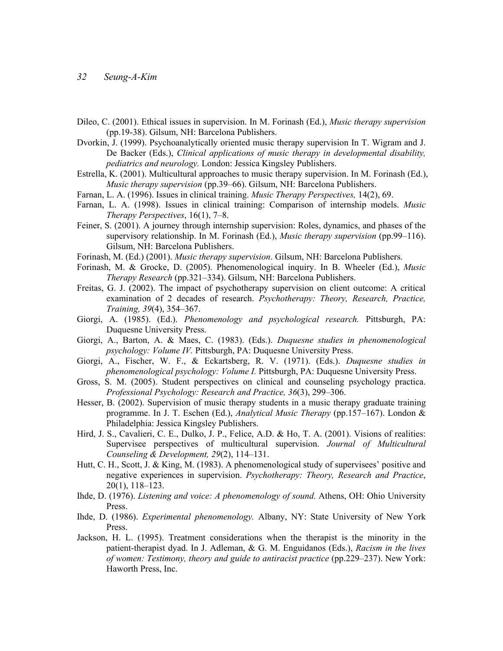- Dileo, C. (2001). Ethical issues in supervision. In M. Forinash (Ed.), *Music therapy supervision* (pp.19-38). Gilsum, NH: Barcelona Publishers.
- Dvorkin, J. (1999). Psychoanalytically oriented music therapy supervision In T. Wigram and J. De Backer (Eds.), Clinical applications of music therapy in developmental disability, pediatrics and neurology. London: Jessica Kingsley Publishers.
- Estrella, K. (2001). Multicultural approaches to music therapy supervision. In M. Forinash (Ed.), Music therapy supervision (pp.39–66). Gilsum, NH: Barcelona Publishers.
- Farnan, L. A. (1996). Issues in clinical training. *Music Therapy Perspectives*, 14(2), 69.
- Farnan, L. A. (1998). Issues in clinical training: Comparison of internship models. Music Therapy Perspectives, 16(1), 7–8.
- Feiner, S. (2001). A journey through internship supervision: Roles, dynamics, and phases of the supervisory relationship. In M. Forinash (Ed.), *Music therapy supervision* (pp.99–116). Gilsum, NH: Barcelona Publishers.
- Forinash, M. (Ed.) (2001). Music therapy supervision. Gilsum, NH: Barcelona Publishers.
- Forinash, M. & Grocke, D. (2005). Phenomenological inquiry. In B. Wheeler (Ed.), *Music* Therapy Research (pp.321–334). Gilsum, NH: Barcelona Publishers.
- Freitas, G. J. (2002). The impact of psychotherapy supervision on client outcome: A critical examination of 2 decades of research. Psychotherapy: Theory, Research, Practice, Training, 39(4), 354–367.
- Giorgi, A. (1985). (Ed.). Phenomenology and psychological research. Pittsburgh, PA: Duquesne University Press.
- Giorgi, A., Barton, A. & Maes, C. (1983). (Eds.). Duquesne studies in phenomenological psychology: Volume IV. Pittsburgh, PA: Duquesne University Press.
- Giorgi, A., Fischer, W. F., & Eckartsberg, R. V. (1971). (Eds.). Duquesne studies in phenomenological psychology: Volume I. Pittsburgh, PA: Duquesne University Press.
- Gross, S. M. (2005). Student perspectives on clinical and counseling psychology practica. Professional Psychology: Research and Practice, 36(3), 299–306.
- Hesser, B. (2002). Supervision of music therapy students in a music therapy graduate training programme. In J. T. Eschen (Ed.), Analytical Music Therapy (pp.157–167). London & Philadelphia: Jessica Kingsley Publishers.
- Hird, J. S., Cavalieri, C. E., Dulko, J. P., Felice, A.D. & Ho, T. A. (2001). Visions of realities: Supervisee perspectives of multicultural supervision. Journal of Multicultural Counseling & Development, 29(2), 114–131.
- Hutt, C. H., Scott, J. & King, M. (1983). A phenomenological study of supervisees' positive and negative experiences in supervision. Psychotherapy: Theory, Research and Practice, 20(1), 118–123.
- Ihde, D. (1976). Listening and voice: A phenomenology of sound. Athens, OH: Ohio University Press.
- Ihde, D. (1986). Experimental phenomenology. Albany, NY: State University of New York Press.
- Jackson, H. L. (1995). Treatment considerations when the therapist is the minority in the patient-therapist dyad. In J. Adleman, & G. M. Enguidanos (Eds.), Racism in the lives of women: Testimony, theory and guide to antiracist practice (pp.229–237). New York: Haworth Press, Inc.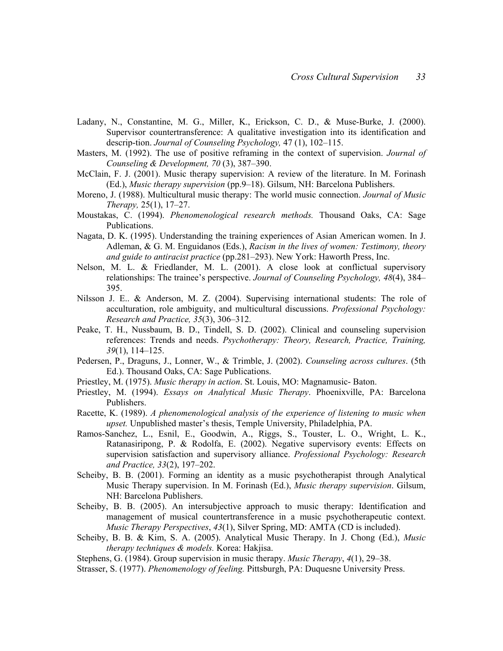- Ladany, N., Constantine, M. G., Miller, K., Erickson, C. D., & Muse-Burke, J. (2000). Supervisor countertransference: A qualitative investigation into its identification and descrip-tion. Journal of Counseling Psychology, 47 (1), 102–115.
- Masters, M. (1992). The use of positive reframing in the context of supervision. *Journal of* Counseling & Development, 70 (3), 387–390.
- McClain, F. J. (2001). Music therapy supervision: A review of the literature. In M. Forinash (Ed.), Music therapy supervision (pp.9–18). Gilsum, NH: Barcelona Publishers.
- Moreno, J. (1988). Multicultural music therapy: The world music connection. Journal of Music Therapy, 25(1), 17–27.
- Moustakas, C. (1994). *Phenomenological research methods*. Thousand Oaks, CA: Sage Publications.
- Nagata, D. K. (1995). Understanding the training experiences of Asian American women. In J. Adleman,  $\&$  G. M. Enguidanos (Eds.), Racism in the lives of women: Testimony, theory and guide to antiracist practice (pp.281–293). New York: Haworth Press, Inc.
- Nelson, M. L. & Friedlander, M. L. (2001). A close look at conflictual supervisory relationships: The trainee's perspective. Journal of Counseling Psychology, 48(4), 384– 395.
- Nilsson J. E.. & Anderson, M. Z. (2004). Supervising international students: The role of acculturation, role ambiguity, and multicultural discussions. *Professional Psychology*: Research and Practice, 35(3), 306–312.
- Peake, T. H., Nussbaum, B. D., Tindell, S. D. (2002). Clinical and counseling supervision references: Trends and needs. Psychotherapy: Theory, Research, Practice, Training, 39(1), 114–125.
- Pedersen, P., Draguns, J., Lonner, W., & Trimble, J. (2002). Counseling across cultures. (5th Ed.). Thousand Oaks, CA: Sage Publications.
- Priestley, M. (1975). *Music therapy in action*. St. Louis, MO: Magnamusic-Baton.
- Priestley, M. (1994). Essays on Analytical Music Therapy. Phoenixville, PA: Barcelona Publishers.
- Racette, K. (1989). A phenomenological analysis of the experience of listening to music when upset. Unpublished master's thesis, Temple University, Philadelphia, PA.
- Ramos-Sanchez, L., Esnil, E., Goodwin, A., Riggs, S., Touster, L. O., Wright, L. K., Ratanasiripong, P. & Rodolfa, E. (2002). Negative supervisory events: Effects on supervision satisfaction and supervisory alliance. Professional Psychology: Research and Practice, 33(2), 197–202.
- Scheiby, B. B. (2001). Forming an identity as a music psychotherapist through Analytical Music Therapy supervision. In M. Forinash (Ed.), Music therapy supervision. Gilsum, NH: Barcelona Publishers.
- Scheiby, B. B. (2005). An intersubjective approach to music therapy: Identification and management of musical countertransference in a music psychotherapeutic context. Music Therapy Perspectives, 43(1), Silver Spring, MD: AMTA (CD is included).
- Scheiby, B. B. & Kim, S. A. (2005). Analytical Music Therapy. In J. Chong (Ed.), Music therapy techniques & models. Korea: Hakjisa.
- Stephens, G. (1984). Group supervision in music therapy. Music Therapy, 4(1), 29–38.
- Strasser, S. (1977). Phenomenology of feeling. Pittsburgh, PA: Duquesne University Press.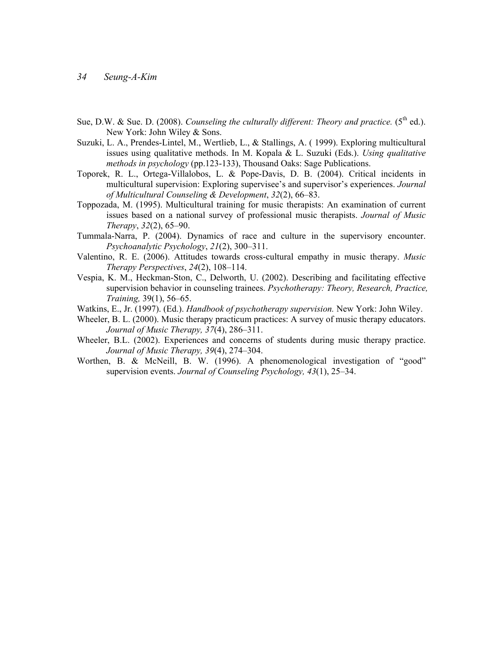- Sue, D.W. & Sue, D. (2008). Counseling the culturally different: Theory and practice. ( $5<sup>th</sup>$  ed.). New York: John Wiley & Sons.
- Suzuki, L. A., Prendes-Lintel, M., Wertlieb, L., & Stallings, A. ( 1999). Exploring multicultural issues using qualitative methods. In M. Kopala  $&$  L. Suzuki (Eds.). Using qualitative methods in psychology (pp.123-133), Thousand Oaks: Sage Publications.
- Toporek, R. L., Ortega-Villalobos, L. & Pope-Davis, D. B. (2004). Critical incidents in multicultural supervision: Exploring supervisee's and supervisor's experiences. Journal of Multicultural Counseling & Development, 32(2), 66–83.
- Toppozada, M. (1995). Multicultural training for music therapists: An examination of current issues based on a national survey of professional music therapists. Journal of Music Therapy, 32(2), 65–90.
- Tummala-Narra, P. (2004). Dynamics of race and culture in the supervisory encounter. Psychoanalytic Psychology, 21(2), 300–311.
- Valentino, R. E. (2006). Attitudes towards cross-cultural empathy in music therapy. Music Therapy Perspectives, 24(2), 108–114.
- Vespia, K. M., Heckman-Ston, C., Delworth, U. (2002). Describing and facilitating effective supervision behavior in counseling trainees. *Psychotherapy: Theory, Research, Practice,* Training, 39(1), 56–65.
- Watkins, E., Jr. (1997). (Ed.). *Handbook of psychotherapy supervision*. New York: John Wiley.
- Wheeler, B. L. (2000). Music therapy practicum practices: A survey of music therapy educators. Journal of Music Therapy, 37(4), 286–311.
- Wheeler, B.L. (2002). Experiences and concerns of students during music therapy practice. Journal of Music Therapy, 39(4), 274–304.
- Worthen, B. & McNeill, B. W. (1996). A phenomenological investigation of "good" supervision events. Journal of Counseling Psychology, 43(1), 25–34.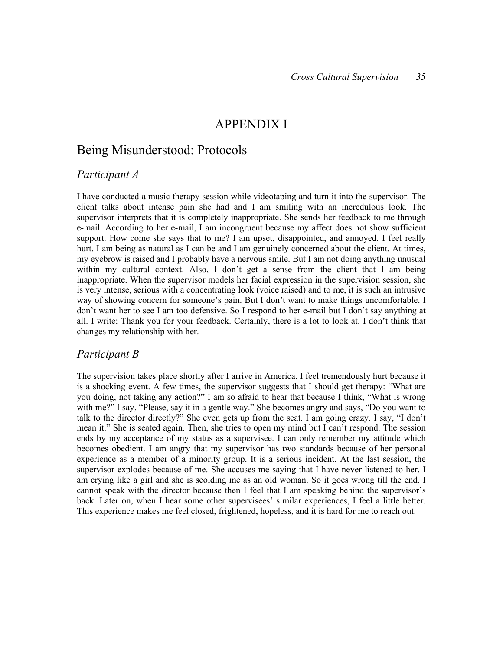### APPENDIX I

### Being Misunderstood: Protocols

#### Participant A

I have conducted a music therapy session while videotaping and turn it into the supervisor. The client talks about intense pain she had and I am smiling with an incredulous look. The supervisor interprets that it is completely inappropriate. She sends her feedback to me through e-mail. According to her e-mail, I am incongruent because my affect does not show sufficient support. How come she says that to me? I am upset, disappointed, and annoyed. I feel really hurt. I am being as natural as I can be and I am genuinely concerned about the client. At times, my eyebrow is raised and I probably have a nervous smile. But I am not doing anything unusual within my cultural context. Also, I don't get a sense from the client that I am being inappropriate. When the supervisor models her facial expression in the supervision session, she is very intense, serious with a concentrating look (voice raised) and to me, it is such an intrusive way of showing concern for someone's pain. But I don't want to make things uncomfortable. I don't want her to see I am too defensive. So I respond to her e-mail but I don't say anything at all. I write: Thank you for your feedback. Certainly, there is a lot to look at. I don't think that changes my relationship with her.

#### Participant B

The supervision takes place shortly after I arrive in America. I feel tremendously hurt because it is a shocking event. A few times, the supervisor suggests that I should get therapy: "What are you doing, not taking any action?" I am so afraid to hear that because I think, "What is wrong with me?" I say, "Please, say it in a gentle way." She becomes angry and says, "Do you want to talk to the director directly?" She even gets up from the seat. I am going crazy. I say, "I don't mean it." She is seated again. Then, she tries to open my mind but I can't respond. The session ends by my acceptance of my status as a supervisee. I can only remember my attitude which becomes obedient. I am angry that my supervisor has two standards because of her personal experience as a member of a minority group. It is a serious incident. At the last session, the supervisor explodes because of me. She accuses me saying that I have never listened to her. I am crying like a girl and she is scolding me as an old woman. So it goes wrong till the end. I cannot speak with the director because then I feel that I am speaking behind the supervisor's back. Later on, when I hear some other supervisees' similar experiences, I feel a little better. This experience makes me feel closed, frightened, hopeless, and it is hard for me to reach out.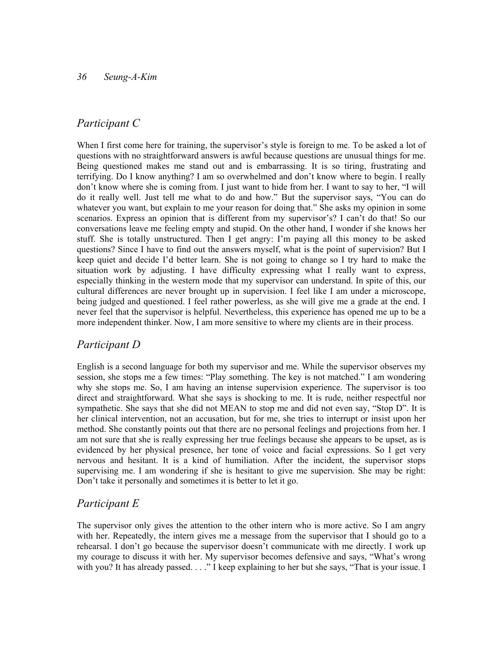#### Participant C

When I first come here for training, the supervisor's style is foreign to me. To be asked a lot of questions with no straightforward answers is awful because questions are unusual things for me. Being questioned makes me stand out and is embarrassing. It is so tiring, frustrating and terrifying. Do I know anything? I am so overwhelmed and don't know where to begin. I really don't know where she is coming from. I just want to hide from her. I want to say to her, "I will do it really well. Just tell me what to do and how." But the supervisor says, "You can do whatever you want, but explain to me your reason for doing that." She asks my opinion in some scenarios. Express an opinion that is different from my supervisor's? I can't do that! So our conversations leave me feeling empty and stupid. On the other hand, I wonder if she knows her stuff. She is totally unstructured. Then I get angry: I'm paying all this money to be asked questions? Since I have to find out the answers myself, what is the point of supervision? But I keep quiet and decide I'd better learn. She is not going to change so I try hard to make the situation work by adjusting. I have difficulty expressing what I really want to express, especially thinking in the western mode that my supervisor can understand. In spite of this, our cultural differences are never brought up in supervision. I feel like I am under a microscope, being judged and questioned. I feel rather powerless, as she will give me a grade at the end. I never feel that the supervisor is helpful. Nevertheless, this experience has opened me up to be a more independent thinker. Now, I am more sensitive to where my clients are in their process.

#### Participant D

English is a second language for both my supervisor and me. While the supervisor observes my session, she stops me a few times: "Play something. The key is not matched." I am wondering why she stops me. So, I am having an intense supervision experience. The supervisor is too direct and straightforward. What she says is shocking to me. It is rude, neither respectful nor sympathetic. She says that she did not MEAN to stop me and did not even say, "Stop D". It is her clinical intervention, not an accusation, but for me, she tries to interrupt or insist upon her method. She constantly points out that there are no personal feelings and projections from her. I am not sure that she is really expressing her true feelings because she appears to be upset, as is evidenced by her physical presence, her tone of voice and facial expressions. So I get very nervous and hesitant. It is a kind of humiliation. After the incident, the supervisor stops supervising me. I am wondering if she is hesitant to give me supervision. She may be right: Don't take it personally and sometimes it is better to let it go.

### Participant E

The supervisor only gives the attention to the other intern who is more active. So I am angry with her. Repeatedly, the intern gives me a message from the supervisor that I should go to a rehearsal. I don't go because the supervisor doesn't communicate with me directly. I work up my courage to discuss it with her. My supervisor becomes defensive and says, "What's wrong with you? It has already passed. . . ." I keep explaining to her but she says, "That is your issue. I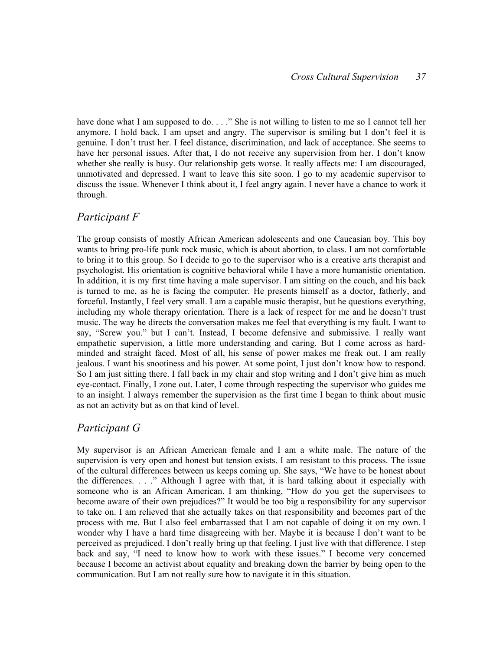have done what I am supposed to do. . . ." She is not willing to listen to me so I cannot tell her anymore. I hold back. I am upset and angry. The supervisor is smiling but I don't feel it is genuine. I don't trust her. I feel distance, discrimination, and lack of acceptance. She seems to have her personal issues. After that, I do not receive any supervision from her. I don't know whether she really is busy. Our relationship gets worse. It really affects me: I am discouraged, unmotivated and depressed. I want to leave this site soon. I go to my academic supervisor to discuss the issue. Whenever I think about it, I feel angry again. I never have a chance to work it through.

#### Participant F

The group consists of mostly African American adolescents and one Caucasian boy. This boy wants to bring pro-life punk rock music, which is about abortion, to class. I am not comfortable to bring it to this group. So I decide to go to the supervisor who is a creative arts therapist and psychologist. His orientation is cognitive behavioral while I have a more humanistic orientation. In addition, it is my first time having a male supervisor. I am sitting on the couch, and his back is turned to me, as he is facing the computer. He presents himself as a doctor, fatherly, and forceful. Instantly, I feel very small. I am a capable music therapist, but he questions everything, including my whole therapy orientation. There is a lack of respect for me and he doesn't trust music. The way he directs the conversation makes me feel that everything is my fault. I want to say, "Screw you." but I can't. Instead, I become defensive and submissive. I really want empathetic supervision, a little more understanding and caring. But I come across as hardminded and straight faced. Most of all, his sense of power makes me freak out. I am really jealous. I want his snootiness and his power. At some point, I just don't know how to respond. So I am just sitting there. I fall back in my chair and stop writing and I don't give him as much eye-contact. Finally, I zone out. Later, I come through respecting the supervisor who guides me to an insight. I always remember the supervision as the first time I began to think about music as not an activity but as on that kind of level.

#### Participant G

My supervisor is an African American female and I am a white male. The nature of the supervision is very open and honest but tension exists. I am resistant to this process. The issue of the cultural differences between us keeps coming up. She says, "We have to be honest about the differences. . . ." Although I agree with that, it is hard talking about it especially with someone who is an African American. I am thinking, "How do you get the supervisees to become aware of their own prejudices?" It would be too big a responsibility for any supervisor to take on. I am relieved that she actually takes on that responsibility and becomes part of the process with me. But I also feel embarrassed that I am not capable of doing it on my own. I wonder why I have a hard time disagreeing with her. Maybe it is because I don't want to be perceived as prejudiced. I don't really bring up that feeling. I just live with that difference. I step back and say, "I need to know how to work with these issues." I become very concerned because I become an activist about equality and breaking down the barrier by being open to the communication. But I am not really sure how to navigate it in this situation.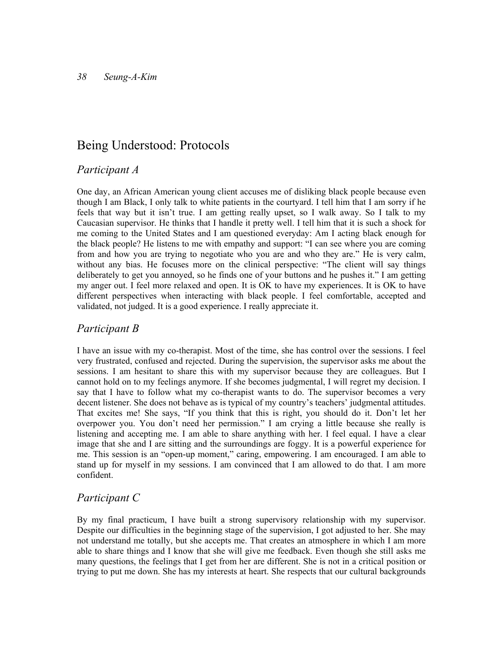## Being Understood: Protocols

#### Participant A

One day, an African American young client accuses me of disliking black people because even though I am Black, I only talk to white patients in the courtyard. I tell him that I am sorry if he feels that way but it isn't true. I am getting really upset, so I walk away. So I talk to my Caucasian supervisor. He thinks that I handle it pretty well. I tell him that it is such a shock for me coming to the United States and I am questioned everyday: Am I acting black enough for the black people? He listens to me with empathy and support: "I can see where you are coming from and how you are trying to negotiate who you are and who they are." He is very calm, without any bias. He focuses more on the clinical perspective: "The client will say things deliberately to get you annoyed, so he finds one of your buttons and he pushes it." I am getting my anger out. I feel more relaxed and open. It is OK to have my experiences. It is OK to have different perspectives when interacting with black people. I feel comfortable, accepted and validated, not judged. It is a good experience. I really appreciate it.

#### Participant B

I have an issue with my co-therapist. Most of the time, she has control over the sessions. I feel very frustrated, confused and rejected. During the supervision, the supervisor asks me about the sessions. I am hesitant to share this with my supervisor because they are colleagues. But I cannot hold on to my feelings anymore. If she becomes judgmental, I will regret my decision. I say that I have to follow what my co-therapist wants to do. The supervisor becomes a very decent listener. She does not behave as is typical of my country's teachers' judgmental attitudes. That excites me! She says, "If you think that this is right, you should do it. Don't let her overpower you. You don't need her permission." I am crying a little because she really is listening and accepting me. I am able to share anything with her. I feel equal. I have a clear image that she and I are sitting and the surroundings are foggy. It is a powerful experience for me. This session is an "open-up moment," caring, empowering. I am encouraged. I am able to stand up for myself in my sessions. I am convinced that I am allowed to do that. I am more confident.

### Participant C

By my final practicum, I have built a strong supervisory relationship with my supervisor. Despite our difficulties in the beginning stage of the supervision, I got adjusted to her. She may not understand me totally, but she accepts me. That creates an atmosphere in which I am more able to share things and I know that she will give me feedback. Even though she still asks me many questions, the feelings that I get from her are different. She is not in a critical position or trying to put me down. She has my interests at heart. She respects that our cultural backgrounds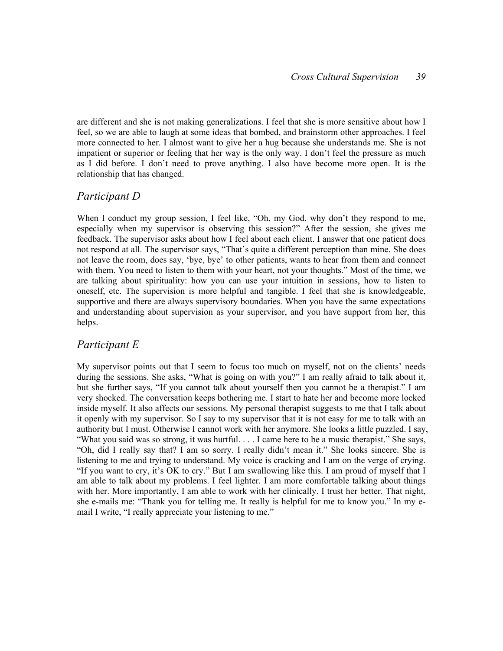are different and she is not making generalizations. I feel that she is more sensitive about how I feel, so we are able to laugh at some ideas that bombed, and brainstorm other approaches. I feel more connected to her. I almost want to give her a hug because she understands me. She is not impatient or superior or feeling that her way is the only way. I don't feel the pressure as much as I did before. I don't need to prove anything. I also have become more open. It is the relationship that has changed.

### Participant D

When I conduct my group session, I feel like, "Oh, my God, why don't they respond to me, especially when my supervisor is observing this session?" After the session, she gives me feedback. The supervisor asks about how I feel about each client. I answer that one patient does not respond at all. The supervisor says, "That's quite a different perception than mine. She does not leave the room, does say, 'bye, bye' to other patients, wants to hear from them and connect with them. You need to listen to them with your heart, not your thoughts." Most of the time, we are talking about spirituality: how you can use your intuition in sessions, how to listen to oneself, etc. The supervision is more helpful and tangible. I feel that she is knowledgeable, supportive and there are always supervisory boundaries. When you have the same expectations and understanding about supervision as your supervisor, and you have support from her, this helps.

### Participant E

My supervisor points out that I seem to focus too much on myself, not on the clients' needs during the sessions. She asks, "What is going on with you?" I am really afraid to talk about it, but she further says, "If you cannot talk about yourself then you cannot be a therapist." I am very shocked. The conversation keeps bothering me. I start to hate her and become more locked inside myself. It also affects our sessions. My personal therapist suggests to me that I talk about it openly with my supervisor. So I say to my supervisor that it is not easy for me to talk with an authority but I must. Otherwise I cannot work with her anymore. She looks a little puzzled. I say, "What you said was so strong, it was hurtful. . . . I came here to be a music therapist." She says, "Oh, did I really say that? I am so sorry. I really didn't mean it." She looks sincere. She is listening to me and trying to understand. My voice is cracking and I am on the verge of crying. "If you want to cry, it's OK to cry." But I am swallowing like this. I am proud of myself that I am able to talk about my problems. I feel lighter. I am more comfortable talking about things with her. More importantly, I am able to work with her clinically. I trust her better. That night, she e-mails me: "Thank you for telling me. It really is helpful for me to know you." In my email I write, "I really appreciate your listening to me."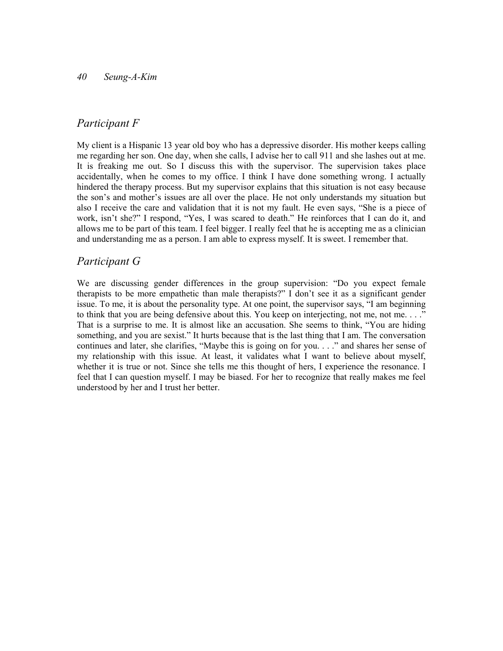### Participant F

My client is a Hispanic 13 year old boy who has a depressive disorder. His mother keeps calling me regarding her son. One day, when she calls, I advise her to call 911 and she lashes out at me. It is freaking me out. So I discuss this with the supervisor. The supervision takes place accidentally, when he comes to my office. I think I have done something wrong. I actually hindered the therapy process. But my supervisor explains that this situation is not easy because the son's and mother's issues are all over the place. He not only understands my situation but also I receive the care and validation that it is not my fault. He even says, "She is a piece of work, isn't she?" I respond, "Yes, I was scared to death." He reinforces that I can do it, and allows me to be part of this team. I feel bigger. I really feel that he is accepting me as a clinician and understanding me as a person. I am able to express myself. It is sweet. I remember that.

### Participant G

We are discussing gender differences in the group supervision: "Do you expect female therapists to be more empathetic than male therapists?" I don't see it as a significant gender issue. To me, it is about the personality type. At one point, the supervisor says, "I am beginning to think that you are being defensive about this. You keep on interjecting, not me, not me. . . ." That is a surprise to me. It is almost like an accusation. She seems to think, "You are hiding something, and you are sexist." It hurts because that is the last thing that I am. The conversation continues and later, she clarifies, "Maybe this is going on for you. . . ." and shares her sense of my relationship with this issue. At least, it validates what I want to believe about myself, whether it is true or not. Since she tells me this thought of hers, I experience the resonance. I feel that I can question myself. I may be biased. For her to recognize that really makes me feel understood by her and I trust her better.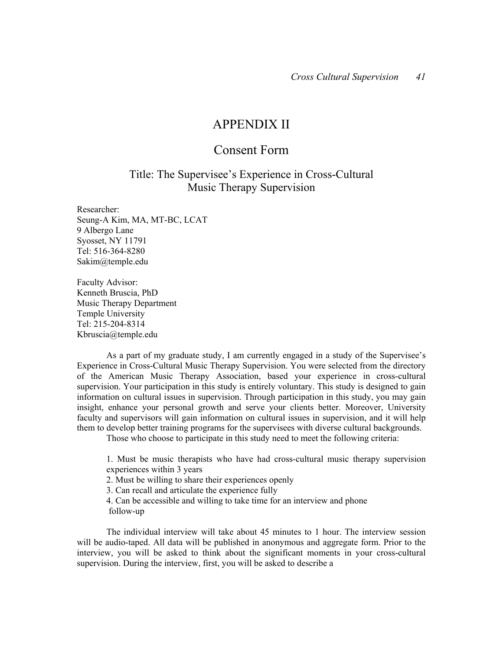### APPENDIX II

### Consent Form

### Title: The Supervisee's Experience in Cross-Cultural Music Therapy Supervision

Researcher: Seung-A Kim, MA, MT-BC, LCAT 9 Albergo Lane Syosset, NY 11791 Tel: 516-364-8280 Sakim@temple.edu

Faculty Advisor: Kenneth Bruscia, PhD Music Therapy Department Temple University Tel: 215-204-8314 Kbruscia@temple.edu

As a part of my graduate study, I am currently engaged in a study of the Supervisee's Experience in Cross-Cultural Music Therapy Supervision. You were selected from the directory of the American Music Therapy Association, based your experience in cross-cultural supervision. Your participation in this study is entirely voluntary. This study is designed to gain information on cultural issues in supervision. Through participation in this study, you may gain insight, enhance your personal growth and serve your clients better. Moreover, University faculty and supervisors will gain information on cultural issues in supervision, and it will help them to develop better training programs for the supervisees with diverse cultural backgrounds.

Those who choose to participate in this study need to meet the following criteria:

1. Must be music therapists who have had cross-cultural music therapy supervision experiences within 3 years

2. Must be willing to share their experiences openly

3. Can recall and articulate the experience fully

4. Can be accessible and willing to take time for an interview and phone follow-up

The individual interview will take about 45 minutes to 1 hour. The interview session will be audio-taped. All data will be published in anonymous and aggregate form. Prior to the interview, you will be asked to think about the significant moments in your cross-cultural supervision. During the interview, first, you will be asked to describe a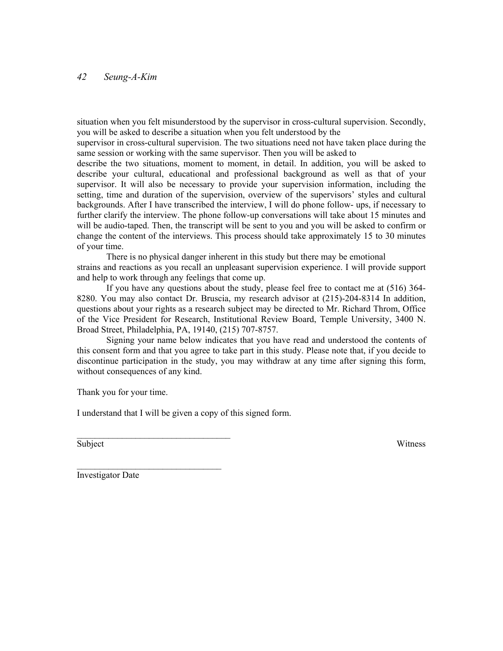situation when you felt misunderstood by the supervisor in cross-cultural supervision. Secondly, you will be asked to describe a situation when you felt understood by the

supervisor in cross-cultural supervision. The two situations need not have taken place during the same session or working with the same supervisor. Then you will be asked to

describe the two situations, moment to moment, in detail. In addition, you will be asked to describe your cultural, educational and professional background as well as that of your supervisor. It will also be necessary to provide your supervision information, including the setting, time and duration of the supervision, overview of the supervisors' styles and cultural backgrounds. After I have transcribed the interview, I will do phone follow- ups, if necessary to further clarify the interview. The phone follow-up conversations will take about 15 minutes and will be audio-taped. Then, the transcript will be sent to you and you will be asked to confirm or change the content of the interviews. This process should take approximately 15 to 30 minutes of your time.

There is no physical danger inherent in this study but there may be emotional strains and reactions as you recall an unpleasant supervision experience. I will provide support and help to work through any feelings that come up.

If you have any questions about the study, please feel free to contact me at (516) 364- 8280. You may also contact Dr. Bruscia, my research advisor at (215)-204-8314 In addition, questions about your rights as a research subject may be directed to Mr. Richard Throm, Office of the Vice President for Research, Institutional Review Board, Temple University, 3400 N. Broad Street, Philadelphia, PA, 19140, (215) 707-8757.

Signing your name below indicates that you have read and understood the contents of this consent form and that you agree to take part in this study. Please note that, if you decide to discontinue participation in the study, you may withdraw at any time after signing this form, without consequences of any kind.

Thank you for your time.

I understand that I will be given a copy of this signed form.

\_\_\_\_\_\_\_\_\_\_\_\_\_\_\_\_\_\_\_\_\_\_\_\_\_\_\_\_\_\_\_\_\_\_

 $\overline{\phantom{a}}$  , where  $\overline{\phantom{a}}$  , where  $\overline{\phantom{a}}$  , where  $\overline{\phantom{a}}$ 

Subject Witness

Investigator Date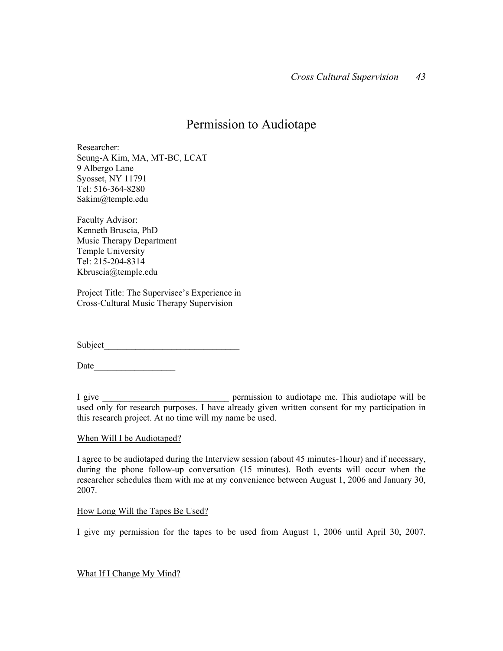## Permission to Audiotape

Researcher: Seung-A Kim, MA, MT-BC, LCAT 9 Albergo Lane Syosset, NY 11791 Tel: 516-364-8280 Sakim@temple.edu

Faculty Advisor: Kenneth Bruscia, PhD Music Therapy Department Temple University Tel: 215-204-8314 Kbruscia@temple.edu

Project Title: The Supervisee's Experience in Cross-Cultural Music Therapy Supervision

Subject

Date\_\_\_\_\_\_\_\_\_\_\_\_\_\_\_\_\_\_

I give \_\_\_\_\_\_\_\_\_\_\_\_\_\_\_\_\_\_\_\_\_\_\_\_\_\_\_\_ permission to audiotape me. This audiotape will be used only for research purposes. I have already given written consent for my participation in this research project. At no time will my name be used.

#### When Will I be Audiotaped?

I agree to be audiotaped during the Interview session (about 45 minutes-1hour) and if necessary, during the phone follow-up conversation (15 minutes). Both events will occur when the researcher schedules them with me at my convenience between August 1, 2006 and January 30, 2007.

#### How Long Will the Tapes Be Used?

I give my permission for the tapes to be used from August 1, 2006 until April 30, 2007.

What If I Change My Mind?